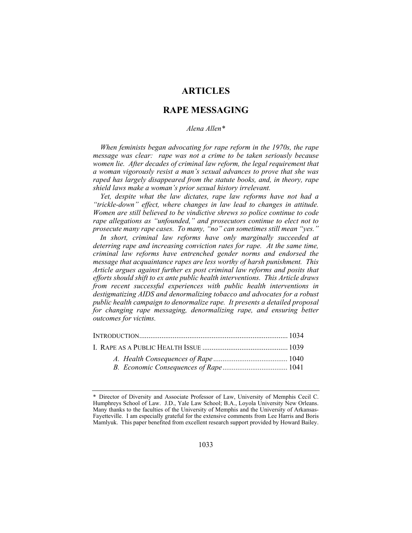# **ARTICLES**

# **RAPE MESSAGING**

### *Alena Allen\**

*When feminists began advocating for rape reform in the 1970s, the rape message was clear: rape was not a crime to be taken seriously because women lie. After decades of criminal law reform, the legal requirement that a woman vigorously resist a man's sexual advances to prove that she was raped has largely disappeared from the statute books, and, in theory, rape shield laws make a woman's prior sexual history irrelevant.* 

*Yet, despite what the law dictates, rape law reforms have not had a "trickle-down" effect, where changes in law lead to changes in attitude. Women are still believed to be vindictive shrews so police continue to code rape allegations as "unfounded," and prosecutors continue to elect not to prosecute many rape cases. To many, "no" can sometimes still mean "yes."* 

*In short, criminal law reforms have only marginally succeeded at deterring rape and increasing conviction rates for rape. At the same time, criminal law reforms have entrenched gender norms and endorsed the message that acquaintance rapes are less worthy of harsh punishment. This Article argues against further ex post criminal law reforms and posits that efforts should shift to ex ante public health interventions. This Article draws from recent successful experiences with public health interventions in destigmatizing AIDS and denormalizing tobacco and advocates for a robust public health campaign to denormalize rape. It presents a detailed proposal for changing rape messaging, denormalizing rape, and ensuring better outcomes for victims.* 

<sup>\*</sup> Director of Diversity and Associate Professor of Law, University of Memphis Cecil C. Humphreys School of Law. J.D., Yale Law School; B.A., Loyola University New Orleans. Many thanks to the faculties of the University of Memphis and the University of Arkansas-Fayetteville. I am especially grateful for the extensive comments from Lee Harris and Boris Mamlyuk. This paper benefited from excellent research support provided by Howard Bailey.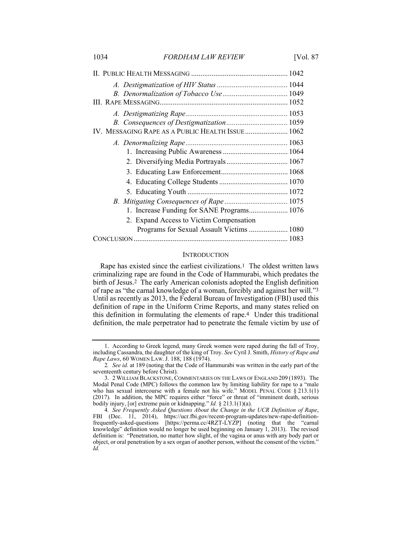| IV. MESSAGING RAPE AS A PUBLIC HEALTH ISSUE 1062 |  |
|--------------------------------------------------|--|
|                                                  |  |
|                                                  |  |
|                                                  |  |
|                                                  |  |
|                                                  |  |
|                                                  |  |
|                                                  |  |
| 1. Increase Funding for SANE Programs 1076       |  |
| 2. Expand Access to Victim Compensation          |  |
| Programs for Sexual Assault Victims  1080        |  |
|                                                  |  |

# **INTRODUCTION**

Rape has existed since the earliest civilizations.<sup>1</sup> The oldest written laws criminalizing rape are found in the Code of Hammurabi, which predates the birth of Jesus.2 The early American colonists adopted the English definition of rape as "the carnal knowledge of a woman, forcibly and against her will."3 Until as recently as 2013, the Federal Bureau of Investigation (FBI) used this definition of rape in the Uniform Crime Reports, and many states relied on this definition in formulating the elements of rape.4 Under this traditional definition, the male perpetrator had to penetrate the female victim by use of

 <sup>1.</sup> According to Greek legend, many Greek women were raped during the fall of Troy, including Cassandra, the daughter of the king of Troy. *See* Cyril J. Smith, *History of Rape and Rape Laws*, 60 WOMEN LAW. J. 188, 188 (1974).

<sup>2</sup>*. See id.* at 189 (noting that the Code of Hammurabi was written in the early part of the seventeenth century before Christ).

 <sup>3. 2</sup> WILLIAM BLACKSTONE, COMMENTARIES ON THE LAWS OF ENGLAND 209 (1893). The Modal Penal Code (MPC) follows the common law by limiting liability for rape to a "male who has sexual intercourse with a female not his wife." MODEL PENAL CODE  $\S 213.1(1)$ (2017). In addition, the MPC requires either "force" or threat of "imminent death, serious bodily injury, [or] extreme pain or kidnapping." *Id.* § 213.1(1)(a).

<sup>4</sup>*. See Frequently Asked Questions About the Change in the UCR Definition of Rape*, FBI (Dec. 11, 2014), https://ucr.fbi.gov/recent-program-updates/new-rape-definitionfrequently-asked-questions [https://perma.cc/4RZT-LYZP] (noting that the "carnal knowledge" definition would no longer be used beginning on January 1, 2013). The revised definition is: "Penetration, no matter how slight, of the vagina or anus with any body part or object, or oral penetration by a sex organ of another person, without the consent of the victim." *Id.*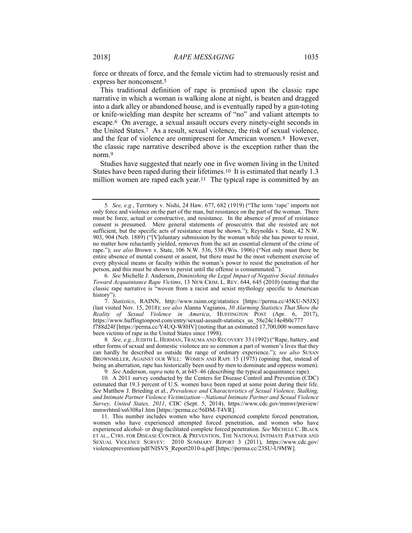force or threats of force, and the female victim had to strenuously resist and express her nonconsent.5

This traditional definition of rape is premised upon the classic rape narrative in which a woman is walking alone at night, is beaten and dragged into a dark alley or abandoned house, and is eventually raped by a gun-toting or knife-wielding man despite her screams of "no" and valiant attempts to escape.6 On average, a sexual assault occurs every ninety-eight seconds in the United States.7 As a result, sexual violence, the risk of sexual violence, and the fear of violence are omnipresent for American women.8 However, the classic rape narrative described above is the exception rather than the norm.9

Studies have suggested that nearly one in five women living in the United States have been raped during their lifetimes.10 It is estimated that nearly 1.3 million women are raped each year.<sup>11</sup> The typical rape is committed by an

6*. See* Michelle J. Anderson, *Diminishing the Legal Impact of Negative Social Attitudes Toward Acquaintance Rape Victims*, 13 NEW CRIM. L. REV. 644, 645 (2010) (noting that the classic rape narrative is "woven from a racist and sexist mythology specific to American history").

 7. *Statistics*, RAINN, http://www.rainn.org/statistics [https://perma.cc/45KU-N5JX] (last visited Nov. 15, 2018); *see also* Alanna Vagianos, *30 Alarming Statistics That Show the Reality of Sexual Violence in America*, HUFFINGTON POST (Apr. 6, 2017), https://www.huffingtonpost.com/entry/sexual-assault-statistics\_us\_58e24c14e4b0c777 f788d24f [https://perma.cc/Y4UQ-W8HV] (noting that an estimated 17,700,000 women have been victims of rape in the United States since 1998).

8*. See, e.g.*, JUDITH L. HERMAN, TRAUMA AND RECOVERY 33 (1992) ("Rape, battery, and other forms of sexual and domestic violence are so common a part of women's lives that they can hardly be described as outside the range of ordinary experience."); *see also* SUSAN BROWNMILLER, AGAINST OUR WILL: WOMEN AND RAPE 15 (1975) (opining that, instead of being an aberration, rape has historically been used by men to dominate and oppress women). 9*. See* Anderson, *supra* note 6, at 645–46 (describing the typical acquaintance rape).

 10. A 2011 survey conducted by the Centers for Disease Control and Prevention (CDC) estimated that 19.3 percent of U.S. women have been raped at some point during their life. *See* Matthew J. Brieding et al., *Prevalence and Characteristics of Sexual Violence, Stalking, and Intimate Partner Violence Victimization—National Intimate Partner and Sexual Violence Survey, United States, 2011*, CDC (Sept. 5, 2014), https://www.cdc.gov/mmwr/preview/ mmwrhtml/ss6308a1.htm [https://perma.cc/56DM-T4VR].

 11. This number includes women who have experienced complete forced penetration, women who have experienced attempted forced penetration, and women who have experienced alcohol- or drug-facilitated complete forced penetration. *See* MICHELE C. BLACK ET AL., CTRS. FOR DISEASE CONTROL & PREVENTION, THE NATIONAL INTIMATE PARTNER AND SEXUAL VIOLENCE SURVEY: 2010 SUMMARY REPORT 3 (2011), https://www.cdc.gov/ violenceprevention/pdf/NISVS\_Report2010-a.pdf [https://perma.cc/23SU-U9MW].

<sup>5</sup>*. See, e.g.*, Territory v. Nishi, 24 Haw. 677, 682 (1919) ("The term 'rape' imports not only force and violence on the part of the man, but resistance on the part of the woman. There must be force, actual or constructive, and resistance. In the absence of proof of resistance consent is presumed. Mere general statements of prosecutrix that she resisted are not sufficient, but the specific acts of resistance must be shown."); Reynolds v. State, 42 N.W. 903, 904 (Neb. 1889) ("[V]oluntary submission by the woman while she has power to resist, no matter how reluctantly yielded, removes from the act an essential element of the crime of rape."); *see also* Brown v. State, 106 N.W. 536, 538 (Wis. 1906) ("Not only must there be entire absence of mental consent or assent, but there must be the most vehement exercise of every physical means or faculty within the woman's power to resist the penetration of her person, and this must be shown to persist until the offense is consummated.").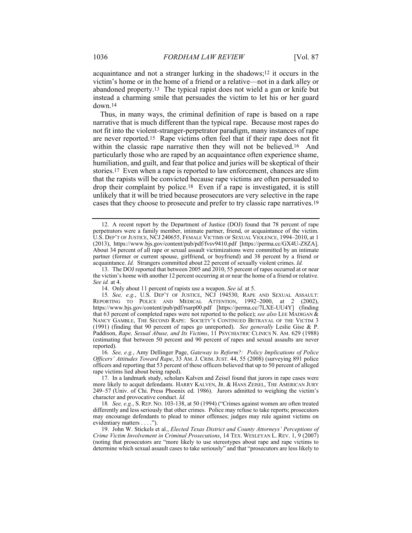acquaintance and not a stranger lurking in the shadows;12 it occurs in the victim's home or in the home of a friend or a relative—not in a dark alley or abandoned property.13 The typical rapist does not wield a gun or knife but instead a charming smile that persuades the victim to let his or her guard down.14

Thus, in many ways, the criminal definition of rape is based on a rape narrative that is much different than the typical rape. Because most rapes do not fit into the violent-stranger-perpetrator paradigm, many instances of rape are never reported.15 Rape victims often feel that if their rape does not fit within the classic rape narrative then they will not be believed.16 And particularly those who are raped by an acquaintance often experience shame, humiliation, and guilt, and fear that police and juries will be skeptical of their stories.17 Even when a rape is reported to law enforcement, chances are slim that the rapists will be convicted because rape victims are often persuaded to drop their complaint by police.18 Even if a rape is investigated, it is still unlikely that it will be tried because prosecutors are very selective in the rape cases that they choose to prosecute and prefer to try classic rape narratives.19

 13. The DOJ reported that between 2005 and 2010, 55 percent of rapes occurred at or near the victim's home with another 12 percent occurring at or near the home of a friend or relative. *See id.* at 4.

16*. See, e.g.*, Amy Dellinger Page, *Gateway to Reform?: Policy Implications of Police Officers' Attitudes Toward Rape*, 33 AM. J. CRIM. JUST. 44, 55 (2008) (surveying 891 police officers and reporting that 53 percent of these officers believed that up to 50 percent of alleged rape victims lied about being raped).

18*. See, e.g.*, S. REP. NO. 103-138, at 50 (1994) ("Crimes against women are often treated differently and less seriously that other crimes. Police may refuse to take reports; prosecutors may encourage defendants to plead to minor offenses; judges may rule against victims on evidentiary matters . . . .").

 19. John W. Stickels et al., *Elected Texas District and County Attorneys' Perceptions of Crime Victim Involvement in Criminal Prosecutions*, 14 TEX. WESLEYAN L. REV. 1, 9 (2007) (noting that prosecutors are "more likely to use stereotypes about rape and rape victims to determine which sexual assault cases to take seriously" and that "prosecutors are less likely to

 <sup>12.</sup> A recent report by the Department of Justice (DOJ) found that 78 percent of rape perpetrators were a family member, intimate partner, friend, or acquaintance of the victim. U.S. DEP'T OF JUSTICE, NCJ 240655, FEMALE VICTIMS OF SEXUAL VIOLENCE, 1994–2010, at 1 (2013), https://www.bjs.gov/content/pub/pdf/fvsv9410.pdf [https://perma.cc/GX4U-Z8ZA]. About 34 percent of all rape or sexual assault victimizations were committed by an intimate partner (former or current spouse, girlfriend, or boyfriend) and 38 percent by a friend or acquaintance. *Id.* Strangers committed about 22 percent of sexually violent crimes. *Id.*

 <sup>14.</sup> Only about 11 percent of rapists use a weapon. *See id.* at 5.

<sup>15</sup>*. See, e.g.*, U.S. DEP'T OF JUSTICE, NCJ 194530, RAPE AND SEXUAL ASSAULT: REPORTING TO POLICE AND MEDICAL ATTENTION, 1992–2000, at 2 (2002), https://www.bjs.gov/content/pub/pdf/rsarp00.pdf [https://perma.cc/7LXE-UU4Y] (finding that 63 percent of completed rapes were not reported to the police); *see also* LEE MADIGAN & NANCY GAMBLE, THE SECOND RAPE: SOCIETY'S CONTINUED BETRAYAL OF THE VICTIM 3 (1991) (finding that 90 percent of rapes go unreported). *See generally* Leslie Gise & P. Paddison, *Rape, Sexual Abuse, and Its Victims*, 11 PSYCHIATRIC CLINICS N. AM. 629 (1988) (estimating that between 50 percent and 90 percent of rapes and sexual assaults are never reported).

 <sup>17.</sup> In a landmark study, scholars Kalven and Zeisel found that jurors in rape cases were more likely to acquit defendants. HARRY KALVEN, JR. & HANS ZEISEL, THE AMERICAN JURY 249–57 (Univ. of Chi. Press Phoenix ed. 1986). Jurors admitted to weighing the victim's character and provocative conduct. *Id.*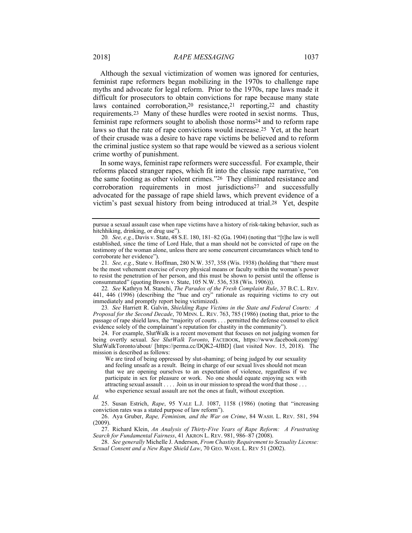Although the sexual victimization of women was ignored for centuries, feminist rape reformers began mobilizing in the 1970s to challenge rape myths and advocate for legal reform. Prior to the 1970s, rape laws made it difficult for prosecutors to obtain convictions for rape because many state laws contained corroboration,20 resistance,21 reporting,22 and chastity requirements.23 Many of these hurdles were rooted in sexist norms. Thus, feminist rape reformers sought to abolish those norms24 and to reform rape laws so that the rate of rape convictions would increase.25 Yet, at the heart of their crusade was a desire to have rape victims be believed and to reform the criminal justice system so that rape would be viewed as a serious violent crime worthy of punishment.

In some ways, feminist rape reformers were successful. For example, their reforms placed stranger rapes, which fit into the classic rape narrative, "on the same footing as other violent crimes."26 They eliminated resistance and corroboration requirements in most jurisdictions27 and successfully advocated for the passage of rape shield laws, which prevent evidence of a victim's past sexual history from being introduced at trial.28 Yet, despite

21*. See, e.g.*, State v. Hoffman, 280 N.W. 357, 358 (Wis. 1938) (holding that "there must be the most vehement exercise of every physical means or faculty within the woman's power to resist the penetration of her person, and this must be shown to persist until the offense is consummated" (quoting Brown v. State, 105 N.W. 536, 538 (Wis. 1906))).

22*. See* Kathryn M. Stanchi, *The Paradox of the Fresh Complaint Rule*, 37 B.C. L. REV. 441, 446 (1996) (describing the "hue and cry" rationale as requiring victims to cry out immediately and promptly report being victimized).

23*. See* Harriett R. Galvin, *Shielding Rape Victims in the State and Federal Courts: A Proposal for the Second Decade*, 70 MINN. L. REV. 763, 785 (1986) (noting that, prior to the passage of rape shield laws, the "majority of courts . . . permitted the defense counsel to elicit evidence solely of the complainant's reputation for chastity in the community").

 24. For example, SlutWalk is a recent movement that focuses on not judging women for being overtly sexual. *See SlutWalk Toronto*, FACEBOOK, https://www.facebook.com/pg/ SlutWalkToronto/about/ [https://perma.cc/DQK2-4JBD] (last visited Nov. 15, 2018). The mission is described as follows:

We are tired of being oppressed by slut-shaming; of being judged by our sexuality and feeling unsafe as a result. Being in charge of our sexual lives should not mean that we are opening ourselves to an expectation of violence, regardless if we participate in sex for pleasure or work. No one should equate enjoying sex with attracting sexual assault . . . . Join us in our mission to spread the word that those . . . who experience sexual assault are not the ones at fault, without exception.

*Id.*

 25. Susan Estrich, *Rape*, 95 YALE L.J. 1087, 1158 (1986) (noting that "increasing conviction rates was a stated purpose of law reform").

 26. Aya Gruber, *Rape, Feminism, and the War on Crime*, 84 WASH. L. REV. 581, 594  $(2009)$ 

 27. Richard Klein, *An Analysis of Thirty-Five Years of Rape Reform: A Frustrating Search for Fundamental Fairness*, 41 AKRON L. REV. 981, 986–87 (2008).

 28. *See generally* Michelle J. Anderson, *From Chastity Requirement to Sexuality License: Sexual Consent and a New Rape Shield Law*, 70 GEO. WASH. L. REV 51 (2002).

pursue a sexual assault case when rape victims have a history of risk-taking behavior, such as hitchhiking, drinking, or drug use").

<sup>20</sup>*. See, e.g.*, Davis v. State, 48 S.E. 180, 181–82 (Ga. 1904) (noting that "[t]he law is well established, since the time of Lord Hale, that a man should not be convicted of rape on the testimony of the woman alone, unless there are some concurrent circumstances which tend to corroborate her evidence").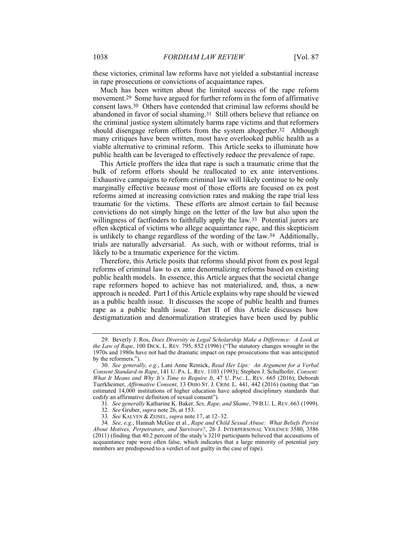these victories, criminal law reforms have not yielded a substantial increase in rape prosecutions or convictions of acquaintance rapes.

Much has been written about the limited success of the rape reform movement.29 Some have argued for further reform in the form of affirmative consent laws.30 Others have contended that criminal law reforms should be abandoned in favor of social shaming.31 Still others believe that reliance on the criminal justice system ultimately harms rape victims and that reformers should disengage reform efforts from the system altogether.32 Although many critiques have been written, most have overlooked public health as a viable alternative to criminal reform. This Article seeks to illuminate how public health can be leveraged to effectively reduce the prevalence of rape.

This Article proffers the idea that rape is such a traumatic crime that the bulk of reform efforts should be reallocated to ex ante interventions. Exhaustive campaigns to reform criminal law will likely continue to be only marginally effective because most of those efforts are focused on ex post reforms aimed at increasing conviction rates and making the rape trial less traumatic for the victims. These efforts are almost certain to fail because convictions do not simply hinge on the letter of the law but also upon the willingness of factfinders to faithfully apply the law.<sup>33</sup> Potential jurors are often skeptical of victims who allege acquaintance rape, and this skepticism is unlikely to change regardless of the wording of the law.34 Additionally, trials are naturally adversarial. As such, with or without reforms, trial is likely to be a traumatic experience for the victim.

Therefore, this Article posits that reforms should pivot from ex post legal reforms of criminal law to ex ante denormalizing reforms based on existing public health models. In essence, this Article argues that the societal change rape reformers hoped to achieve has not materialized, and, thus, a new approach is needed. Part I of this Article explains why rape should be viewed as a public health issue. It discusses the scope of public health and frames rape as a public health issue. Part II of this Article discusses how destigmatization and denormalization strategies have been used by public

 <sup>29.</sup> Beverly J. Ros, *Does Diversity in Legal Scholarship Make a Difference: A Look at the Law of Rape*, 100 DICK. L. REV. 795, 852 (1996) ("The statutory changes wrought in the 1970s and 1980s have not had the dramatic impact on rape prosecutions that was anticipated by the reformers.").

 <sup>30.</sup> *See generally, e.g.*, Lani Anne Remick, *Read Her Lips: An Argument for a Verbal Consent Standard in Rape*, 141 U. PA. L. REV. 1103 (1993); Stephen J. Schulhofer, *Consent: What It Means and Why It's Time to Require It*, 47 U. PAC. L. REV. 665 (2016); Deborah Tuerkheimer, *Affirmative Consent*, 13 OHIO ST. J. CRIM. L. 441, 442 (2016) (noting that "an estimated 14,000 institutions of higher education have adopted disciplinary standards that codify an affirmative definition of sexual consent").

<sup>31</sup>*. See generally* Katharine K. Baker, *Sex, Rape, and Shame*, 79 B.U. L.REV. 663 (1999).

<sup>32</sup>*. See* Gruber, *supra* note 26, at 153.

<sup>33</sup>*. See* KALVEN & ZEISEL, *supra* note 17, at 12–32.

<sup>34</sup>*. See, e.g.*, Hannah McGee et al., *Rape and Child Sexual Abuse: What Beliefs Persist About Motives, Perpetrators, and Survivors?*, 26 J. INTERPERSONAL VIOLENCE 3580, 3586 (2011) (finding that 40.2 percent of the study's 3210 participants believed that accusations of acquaintance rape were often false, which indicates that a large minority of potential jury members are predisposed to a verdict of not guilty in the case of rape).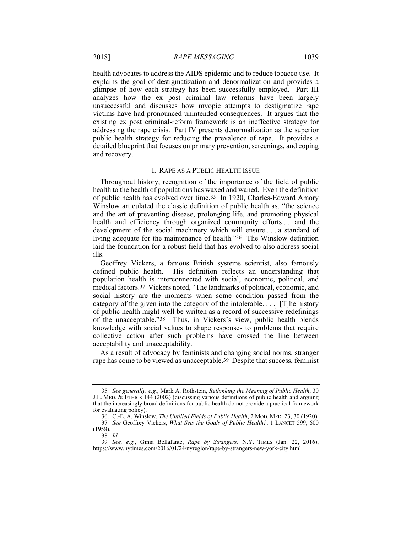health advocates to address the AIDS epidemic and to reduce tobacco use. It explains the goal of destigmatization and denormalization and provides a glimpse of how each strategy has been successfully employed. Part III analyzes how the ex post criminal law reforms have been largely unsuccessful and discusses how myopic attempts to destigmatize rape victims have had pronounced unintended consequences. It argues that the existing ex post criminal-reform framework is an ineffective strategy for addressing the rape crisis. Part IV presents denormalization as the superior public health strategy for reducing the prevalence of rape. It provides a detailed blueprint that focuses on primary prevention, screenings, and coping and recovery.

#### I. RAPE AS A PUBLIC HEALTH ISSUE

Throughout history, recognition of the importance of the field of public health to the health of populations has waxed and waned. Even the definition of public health has evolved over time.35 In 1920, Charles-Edward Amory Winslow articulated the classic definition of public health as, "the science and the art of preventing disease, prolonging life, and promoting physical health and efficiency through organized community efforts . . . and the development of the social machinery which will ensure . . . a standard of living adequate for the maintenance of health."36 The Winslow definition laid the foundation for a robust field that has evolved to also address social ills.

Geoffrey Vickers, a famous British systems scientist, also famously defined public health. His definition reflects an understanding that population health is interconnected with social, economic, political, and medical factors.37 Vickers noted, "The landmarks of political, economic, and social history are the moments when some condition passed from the category of the given into the category of the intolerable. . . . [T]he history of public health might well be written as a record of successive redefinings of the unacceptable."38 Thus, in Vickers's view, public health blends knowledge with social values to shape responses to problems that require collective action after such problems have crossed the line between acceptability and unacceptability.

As a result of advocacy by feminists and changing social norms, stranger rape has come to be viewed as unacceptable.39 Despite that success, feminist

<sup>35</sup>*. See generally, e.g.*, Mark A. Rothstein, *Rethinking the Meaning of Public Health*, 30 J.L. MED. & ETHICS 144 (2002) (discussing various definitions of public health and arguing that the increasingly broad definitions for public health do not provide a practical framework for evaluating policy).

 <sup>36.</sup> C.-E. A. Winslow, *The Untilled Fields of Public Health*, 2 MOD. MED. 23, 30 (1920). 37*. See* Geoffrey Vickers, *What Sets the Goals of Public Health?*, 1 LANCET 599, 600 (1958).

<sup>38</sup>*. Id.*

<sup>39</sup>*. See, e.g.*, Ginia Bellafante, *Rape by Strangers*, N.Y. TIMES (Jan. 22, 2016), https://www.nytimes.com/2016/01/24/nyregion/rape-by-strangers-new-york-city.html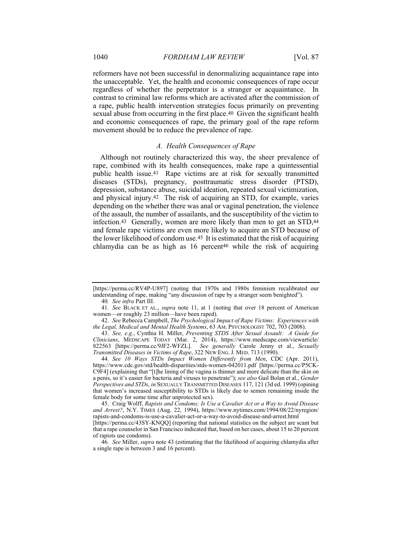reformers have not been successful in denormalizing acquaintance rape into the unacceptable. Yet, the health and economic consequences of rape occur regardless of whether the perpetrator is a stranger or acquaintance. In contrast to criminal law reforms which are activated after the commission of a rape, public health intervention strategies focus primarily on preventing sexual abuse from occurring in the first place.40 Given the significant health and economic consequences of rape, the primary goal of the rape reform movement should be to reduce the prevalence of rape.

# *A. Health Consequences of Rape*

Although not routinely characterized this way, the sheer prevalence of rape, combined with its health consequences, make rape a quintessential public health issue.41 Rape victims are at risk for sexually transmitted diseases (STDs), pregnancy, posttraumatic stress disorder (PTSD), depression, substance abuse, suicidal ideation, repeated sexual victimization, and physical injury.42 The risk of acquiring an STD, for example, varies depending on the whether there was anal or vaginal penetration, the violence of the assault, the number of assailants, and the susceptibility of the victim to infection.<sup>43</sup> Generally, women are more likely than men to get an STD,<sup>44</sup> and female rape victims are even more likely to acquire an STD because of the lower likelihood of condom use.45 It is estimated that the risk of acquiring chlamydia can be as high as  $16$  percent<sup>46</sup> while the risk of acquiring

<sup>[</sup>https://perma.cc/RV4P-U897] (noting that 1970s and 1980s feminism recalibrated our understanding of rape, making "any discussion of rape by a stranger seem benighted").

<sup>40</sup>*. See infra* Part III.

<sup>41</sup>*. See* BLACK ET AL., *supra* note 11, at 1 (noting that over 18 percent of American women—or roughly 23 million—have been raped).

 <sup>42.</sup> *See* Rebecca Campbell, *The Psychological Impact of Rape Victims: Experiences with the Legal, Medical and Mental Health Systems*, 63 AM. PSYCHOLOGIST 702, 703 (2008).

 <sup>43.</sup> *See, e.g.*, Cynthia H. Miller, *Preventing STDS After Sexual Assault: A Guide for Clinicians*, MEDSCAPE TODAY (Mar. 2, 2014), https://www.medscape.com/viewarticle/ 822563 [https://perma.cc/9JF2-WFZL]. *See generally* Carole Jenny et al., *Sexually Transmitted Diseases in Victims of Rape*, 322 NEW ENG. J. MED. 713 (1990).

<sup>44</sup>*. See 10 Ways STDs Impact Women Differently from Men*, CDC (Apr. 2011), https://www.cdc.gov/std/health-disparities/stds-women-042011.pdf [https://perma.cc/P5CK-C9F4] (explaining that "[t]he lining of the vagina is thinner and more delicate than the skin on a penis, so it's easier for bacteria and viruses to penetrate"); *see also* Gail Bolan et al., *Gender Perspectives and STDs*, *in* SEXUALLY TRANSMITTED DISEASES 117, 121 (3d ed. 1999) (opining that women's increased susceptibility to STDs is likely due to semen remaining inside the female body for some time after unprotected sex).

 <sup>45.</sup> Craig Wolff, *Rapists and Condoms; Is Use a Cavalier Act or a Way to Avoid Disease and Arrest?*, N.Y. TIMES (Aug. 22, 1994), https://www.nytimes.com/1994/08/22/nyregion/ rapists-and-condoms-is-use-a-cavalier-act-or-a-way-to-avoid-disease-and-arrest.html [https://perma.cc/43SY-KNQQ] (reporting that national statistics on the subject are scant but that a rape counselor in San Francisco indicated that, based on her cases, about 15 to 20 percent of rapists use condoms).

<sup>46</sup>*. See* Miller, *supra* note 43 (estimating that the likelihood of acquiring chlamydia after a single rape is between 3 and 16 percent).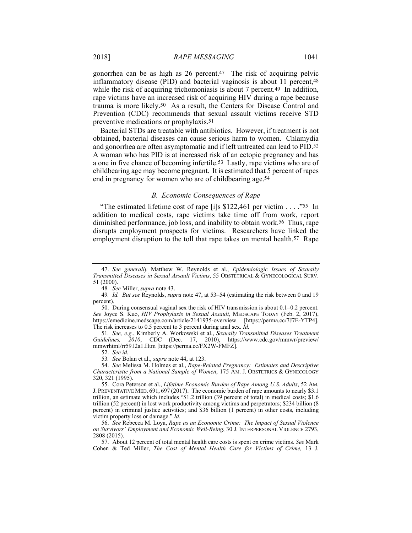gonorrhea can be as high as 26 percent.47 The risk of acquiring pelvic inflammatory disease (PID) and bacterial vaginosis is about 11 percent,48 while the risk of acquiring trichomoniasis is about 7 percent.<sup>49</sup> In addition, rape victims have an increased risk of acquiring HIV during a rape because trauma is more likely.50 As a result, the Centers for Disease Control and Prevention (CDC) recommends that sexual assault victims receive STD preventive medications or prophylaxis.51

Bacterial STDs are treatable with antibiotics. However, if treatment is not obtained, bacterial diseases can cause serious harm to women. Chlamydia and gonorrhea are often asymptomatic and if left untreated can lead to PID.52 A woman who has PID is at increased risk of an ectopic pregnancy and has a one in five chance of becoming infertile.53 Lastly, rape victims who are of childbearing age may become pregnant. It is estimated that 5 percent of rapes end in pregnancy for women who are of childbearing age.54

#### *B. Economic Consequences of Rape*

"The estimated lifetime cost of rape [i]s \$122,461 per victim . . . . "<sup>55</sup> In addition to medical costs, rape victims take time off from work, report diminished performance, job loss, and inability to obtain work.56 Thus, rape disrupts employment prospects for victims. Researchers have linked the employment disruption to the toll that rape takes on mental health.<sup>57</sup> Rape

51*. See, e.g.*, Kimberly A. Workowski et al., *Sexually Transmitted Diseases Treatment Guidelines, 2010*, CDC (Dec. 17, 2010), https://www.cdc.gov/mmwr/preview/ mmwrhtml/rr5912a1.Htm [https://perma.cc/FX2W-FMFZ].

52. *See id*.

53*. See* Bolan et al., *supra* note 44, at 123.

 54. *See* Melissa M. Holmes et al., *Rape-Related Pregnancy: Estimates and Descriptive Characteristic from a National Sample of Women*, 175 AM. J. OBSTETRICS & GYNECOLOGY 320, 321 (1995).

 55. Cora Peterson et al., *Lifetime Economic Burden of Rape Among U.S. Adults*, 52 AM. J. PREVENTATIVE MED. 691, 697 (2017). The economic burden of rape amounts to nearly \$3.1 trillion, an estimate which includes "\$1.2 trillion (39 percent of total) in medical costs; \$1.6 trillion (52 percent) in lost work productivity among victims and perpetrators; \$234 billion (8 percent) in criminal justice activities; and \$36 billion (1 percent) in other costs, including victim property loss or damage." *Id*.

 56. *See* Rebecca M. Loya, *Rape as an Economic Crime: The Impact of Sexual Violence on Survivors' Employment and Economic Well-Being*, 30 J. INTERPERSONAL VIOLENCE 2793, 2808 (2015).

 57. About 12 percent of total mental health care costs is spent on crime victims. *See* Mark Cohen & Ted Miller, *The Cost of Mental Health Care for Victims of Crime,* 13 J.

 <sup>47.</sup> *See generally* Matthew W. Reynolds et al., *Epidemiologic Issues of Sexually Transmitted Diseases in Sexual Assault Victims*, 55 OBSTETRICAL & GYNECOLOGICAL SURV. 51 (2000).

<sup>48</sup>*. See* Miller, *supra* note 43.

<sup>49</sup>*. Id. But see* Reynolds, *supra* note 47, at 53–54 (estimating the risk between 0 and 19 percent).

 <sup>50.</sup> During consensual vaginal sex the risk of HIV transmission is about 0.1–0.2 percent. *See* Joyce S. Kuo, *HIV Prophylaxis in Sexual Assault*, MEDSCAPE TODAY (Feb. 2, 2017), https://emedicine.medscape.com/article/2141935-overview [https://perma.cc/7J7E-YTP4]. The risk increases to 0.5 percent to 3 percent during anal sex. *Id.*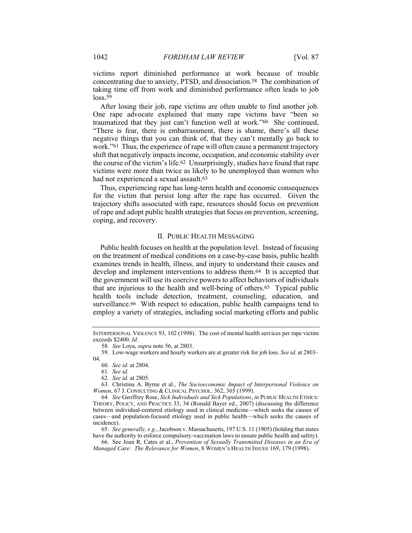victims report diminished performance at work because of trouble concentrating due to anxiety, PTSD, and dissociation.58 The combination of taking time off from work and diminished performance often leads to job loss.<sup>59</sup>

After losing their job, rape victims are often unable to find another job. One rape advocate explained that many rape victims have "been so traumatized that they just can't function well at work."60 She continued, "There is fear, there is embarrassment, there is shame, there's all these negative things that you can think of, that they can't mentally go back to work."61 Thus, the experience of rape will often cause a permanent trajectory shift that negatively impacts income, occupation, and economic stability over the course of the victim's life.62 Unsurprisingly, studies have found that rape victims were more than twice as likely to be unemployed than women who had not experienced a sexual assault.63

Thus, experiencing rape has long-term health and economic consequences for the victim that persist long after the rape has occurred. Given the trajectory shifts associated with rape, resources should focus on prevention of rape and adopt public health strategies that focus on prevention, screening, coping, and recovery.

### II. PUBLIC HEALTH MESSAGING

Public health focuses on health at the population level. Instead of focusing on the treatment of medical conditions on a case-by-case basis, public health examines trends in health, illness, and injury to understand their causes and develop and implement interventions to address them.64 It is accepted that the government will use its coercive powers to affect behaviors of individuals that are injurious to the health and well-being of others.65 Typical public health tools include detection, treatment, counseling, education, and surveillance.66 With respect to education, public health campaigns tend to employ a variety of strategies, including social marketing efforts and public

62*. See id.* at 2805.

 63. Christina A. Byrne et al., *The Socioeconomic Impact of Interpersonal Violence on Women*, 67 J. CONSULTING & CLINICAL PSYCHOL. 362, 365 (1999).

64*. See* Geoffrey Rose, *Sick Individuals and Sick Populations*, *in* PUBLIC HEALTH ETHICS: THEORY, POLICY, AND PRACTICE 33, 34 (Ronald Bayer ed., 2007) (discussing the difference between individual-centered etiology used in clinical medicine—which seeks the causes of cases—and population-focused etiology used in public health—which seeks the causes of incidence).

65*. See generally, e.g.*, Jacobson v. Massachusetts, 197 U.S. 11 (1905) (holding that states have the authority to enforce compulsory-vaccination laws to ensure public health and safety).

 66. See Joan R. Cates et al., *Prevention of Sexually Transmitted Diseases in an Era of Managed Care: The Relevance for Women*, 8 WOMEN'S HEALTH ISSUES 169, 179 (1998).

INTERPERSONAL VIOLENCE 93, 102 (1998). The cost of mental health services per rape victim exceeds \$2400. *Id.*

<sup>58</sup>*. See* Loya, *supra* note 56, at 2803.

 <sup>59.</sup> Low-wage workers and hourly workers are at greater risk for job loss. *See id.* at 2803– 04.

<sup>60</sup>*. See id.* at 2804.

<sup>61</sup>*. See id.*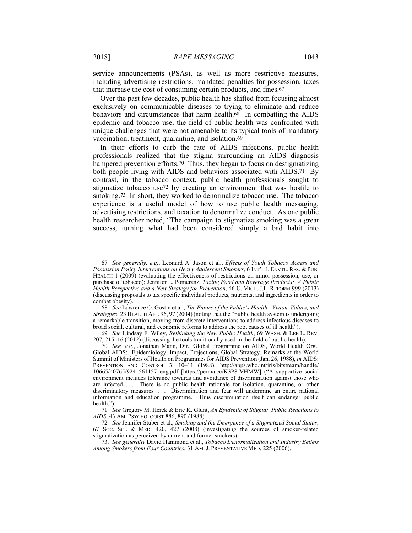service announcements (PSAs), as well as more restrictive measures, including advertising restrictions, mandated penalties for possession, taxes that increase the cost of consuming certain products, and fines.67

Over the past few decades, public health has shifted from focusing almost exclusively on communicable diseases to trying to eliminate and reduce behaviors and circumstances that harm health.68 In combatting the AIDS epidemic and tobacco use, the field of public health was confronted with unique challenges that were not amenable to its typical tools of mandatory vaccination, treatment, quarantine, and isolation.69

In their efforts to curb the rate of AIDS infections, public health professionals realized that the stigma surrounding an AIDS diagnosis hampered prevention efforts.<sup>70</sup> Thus, they began to focus on destigmatizing both people living with AIDS and behaviors associated with AIDS.<sup>71</sup> By contrast, in the tobacco context, public health professionals sought to stigmatize tobacco use72 by creating an environment that was hostile to smoking.73 In short, they worked to denormalize tobacco use. The tobacco experience is a useful model of how to use public health messaging, advertising restrictions, and taxation to denormalize conduct. As one public health researcher noted, "The campaign to stigmatize smoking was a great success, turning what had been considered simply a bad habit into

69*. See* Lindsay F. Wiley, *Rethinking the New Public Health*, 69 WASH. & LEE L. REV. 207, 215–16 (2012) (discussing the tools traditionally used in the field of public health).

<sup>67</sup>*. See generally, e.g.*, Leonard A. Jason et al., *Effects of Youth Tobacco Access and Possession Policy Interventions on Heavy Adolescent Smokers*, 6 INT'L J. ENVTL. RES. & PUB. HEALTH 1 (2009) (evaluating the effectiveness of restrictions on minor possession, use, or purchase of tobacco); Jennifer L. Pomeranz, *Taxing Food and Beverage Products: A Public Health Perspective and a New Strategy for Prevention*, 46 U. MICH. J.L. REFORM 999 (2013) (discussing proposals to tax specific individual products, nutrients, and ingredients in order to combat obesity).

<sup>68</sup>*. See* Lawrence O. Gostin et al., *The Future of the Public's Health: Vision, Values, and Strategies*, 23 HEALTH AFF. 96, 97 (2004) (noting that the "public health system is undergoing a remarkable transition, moving from discrete interventions to address infectious diseases to broad social, cultural, and economic reforms to address the root causes of ill health").

<sup>70</sup>*. See, e.g.*, Jonathan Mann, Dir., Global Programme on AIDS, World Health Org., Global AIDS: Epidemiology, Impact, Projections, Global Strategy, Remarks at the World Summit of Ministers of Health on Programmes for AIDS Prevention (Jan. 26, 1988), *in* AIDS: PREVENTION AND CONTROL 3, 10-11 (1988), http://apps.who.int/iris/bitstream/handle/ 10665/40765/9241561157\_eng.pdf [https://perma.cc/K3P8-VHMW] ("A supportive social environment includes tolerance towards and avoidance of discrimination against those who are infected. . . . There is no public health rationale for isolation, quarantine, or other discriminatory measures . . . . Discrimination and fear will undermine an entire national information and education programme. Thus discrimination itself can endanger public health.").

<sup>71</sup>*. See* Gregory M. Herek & Eric K. Glunt, *An Epidemic of Stigma: Public Reactions to AIDS*, 43 AM. PSYCHOLOGIST 886, 890 (1988).

<sup>72</sup>*. See* Jennifer Stuber et al., *Smoking and the Emergence of a Stigmatized Social Status*, 67 SOC. SCI. & MED. 420, 427 (2008) (investigating the sources of smoker-related stigmatization as perceived by current and former smokers).

 <sup>73.</sup> *See generally* David Hammond et al., *Tobacco Denormalization and Industry Beliefs Among Smokers from Four Countries*, 31 AM. J. PREVENTATIVE MED. 225 (2006).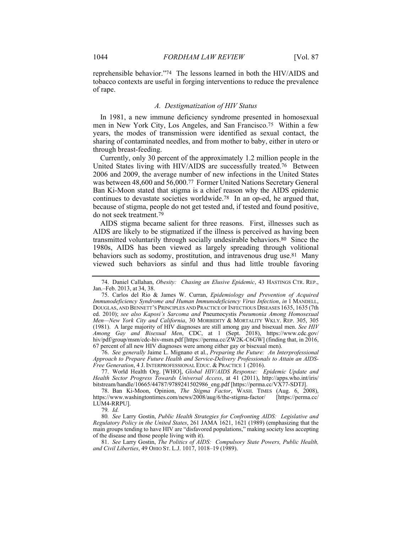reprehensible behavior."74 The lessons learned in both the HIV/AIDS and tobacco contexts are useful in forging interventions to reduce the prevalence of rape.

### *A. Destigmatization of HIV Status*

In 1981, a new immune deficiency syndrome presented in homosexual men in New York City, Los Angeles, and San Francisco.75 Within a few years, the modes of transmission were identified as sexual contact, the sharing of contaminated needles, and from mother to baby, either in utero or through breast-feeding.

Currently, only 30 percent of the approximately 1.2 million people in the United States living with HIV/AIDS are successfully treated.76 Between 2006 and 2009, the average number of new infections in the United States was between 48,600 and 56,000.77 Former United Nations Secretary General Ban Ki-Moon stated that stigma is a chief reason why the AIDS epidemic continues to devastate societies worldwide.78 In an op-ed, he argued that, because of stigma, people do not get tested and, if tested and found positive, do not seek treatment.79

AIDS stigma became salient for three reasons. First, illnesses such as AIDS are likely to be stigmatized if the illness is perceived as having been transmitted voluntarily through socially undesirable behaviors.80 Since the 1980s, AIDS has been viewed as largely spreading through volitional behaviors such as sodomy, prostitution, and intravenous drug use.81 Many viewed such behaviors as sinful and thus had little trouble favoring

 76. *See generally* Jaime L. Mignano et al., *Preparing the Future: An Interprofessional Approach to Prepare Future Health and Service-Delivery Professionals to Attain an AIDS-Free Generation*, 4 J. INTERPROFESSIONAL EDUC. & PRACTICE 1 (2016).

 77. World Health Org. [WHO], *Global HIV/AIDS Response: Epidemic Update and Health Sector Progress Towards Universal Access*, at 41 (2011), http://apps.who.int/iris/ bitstream/handle/10665/44787/9789241502986\_eng.pdf [https://perma.cc/VX77-SDTJ].

 78. Ban Ki-Moon, Opinion, *The Stigma Factor*, WASH. TIMES (Aug. 6, 2008), https://www.washingtontimes.com/news/2008/aug/6/the-stigma-factor/ [https://perma.cc/ LUM4-RRPU].

79*. Id.*

80*. See* Larry Gostin, *Public Health Strategies for Confronting AIDS: Legislative and Regulatory Policy in the United States*, 261 JAMA 1621, 1621 (1989) (emphasizing that the main groups tending to have HIV are "disfavored populations," making society less accepting of the disease and those people living with it).

 81. *See* Larry Gostin, *The Politics of AIDS: Compulsory State Powers, Public Health, and Civil Liberties*, 49 OHIO ST. L.J. 1017, 1018–19 (1989).

 <sup>74.</sup> Daniel Callahan, *Obesity: Chasing an Elusive Epidemic*, 43 HASTINGS CTR. REP., Jan.–Feb. 2013, at 34, 38.

 <sup>75.</sup> Carlos del Rio & James W. Curran, *Epidemiology and Prevention of Acquired Immunodeficiency Syndrome and Human Immunodeficiency Virus Infection*, *in* 1 MANDELL, DOUGLAS, AND BENNETT'S PRINCIPLES AND PRACTICE OF INFECTIOUS DISEASES 1635, 1635 (7th ed. 2010); *see also Kaposi's Sarcoma and* Pneumocystis *Pneumonia Among Homosexual Men—New York City and California*, 30 MORBIDITY & MORTALITY WKLY. REP. 305, 305 (1981). A large majority of HIV diagnoses are still among gay and bisexual men. *See HIV Among Gay and Bisexual Men*, CDC, at 1 (Sept. 2018), https://www.cdc.gov/ hiv/pdf/group/msm/cdc-hiv-msm.pdf [https://perma.cc/ZW2K-C6GW] (finding that, in 2016, 67 percent of all new HIV diagnoses were among either gay or bisexual men).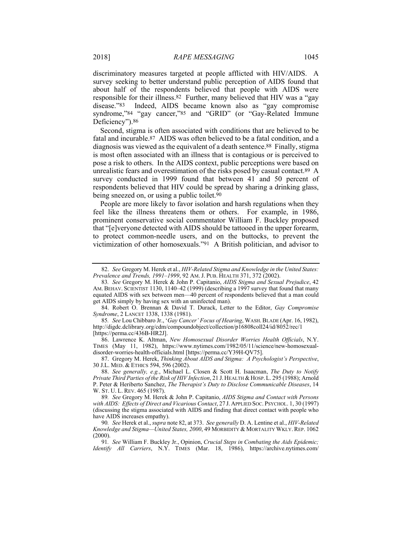discriminatory measures targeted at people afflicted with HIV/AIDS. A survey seeking to better understand public perception of AIDS found that about half of the respondents believed that people with AIDS were responsible for their illness.82 Further, many believed that HIV was a "gay disease."83 Indeed, AIDS became known also as "gay compromise syndrome,"84 "gay cancer,"85 and "GRID" (or "Gay-Related Immune Deficiency").<sup>86</sup>

Second, stigma is often associated with conditions that are believed to be fatal and incurable.87 AIDS was often believed to be a fatal condition, and a diagnosis was viewed as the equivalent of a death sentence.88 Finally, stigma is most often associated with an illness that is contagious or is perceived to pose a risk to others. In the AIDS context, public perceptions were based on unrealistic fears and overestimation of the risks posed by casual contact.89 A survey conducted in 1999 found that between 41 and 50 percent of respondents believed that HIV could be spread by sharing a drinking glass, being sneezed on, or using a public toilet.<sup>90</sup>

People are more likely to favor isolation and harsh regulations when they feel like the illness threatens them or others. For example, in 1986, prominent conservative social commentator William F. Buckley proposed that "[e]veryone detected with AIDS should be tattooed in the upper forearm, to protect common-needle users, and on the buttocks, to prevent the victimization of other homosexuals."91 A British politician, and advisor to

 84. Robert O. Brennan & David T. Durack, Letter to the Editor, *Gay Compromise Syndrome*, 2 LANCET 1338, 1338 (1981).

85*. See* Lou Chibbaro Jr., '*Gay Cancer' Focus of Hearing*, WASH.BLADE (Apr. 16, 1982), http://digdc.dclibrary.org/cdm/compoundobject/collection/p16808coll24/id/8052/rec/1 [https://perma.cc/436B-HR2J].

 86. Lawrence K. Altman, *New Homosexual Disorder Worries Health Officials*, N.Y. TIMES (May 11, 1982), https://www.nytimes.com/1982/05/11/science/new-homosexualdisorder-worries-health-officials.html [https://perma.cc/Y39H-QV75].

 87. Gregory M. Herek, *Thinking About AIDS and Stigma: A Psychologist's Perspective*, 30 J.L. MED. & ETHICS 594, 596 (2002).

 88. *See generally, e.g.*, Michael L. Closen & Scott H. Isaacman, *The Duty to Notify Private Third Parties of the Risk of HIV Infection*, 21 J. HEALTH & HOSP. L. 295 (1988); Arnold P. Peter & Heriberto Sanchez, *The Therapist's Duty to Disclose Communicable Diseases*, 14 W. ST. U. L. REV. 465 (1987).

89*. See* Gregory M. Herek & John P. Capitanio, *AIDS Stigma and Contact with Persons with AIDS: Effects of Direct and Vicarious Contact*, 27 J. APPLIED SOC. PSYCHOL. 1, 30 (1997) (discussing the stigma associated with AIDS and finding that direct contact with people who have AIDS increases empathy).

90*. See* Herek et al., *supra* note 82, at 373. *See generally* D. A. Lentine et al., *HIV-Related Knowledge and Stigma—United States, 2000*, 49 MORBIDITY & MORTALITY WKLY. REP. 1062 (2000).

91*. See* William F. Buckley Jr., Opinion, *Crucial Steps in Combating the Aids Epidemic; Identify All Carriers*, N.Y. TIMES (Mar. 18, 1986), https://archive.nytimes.com/

 <sup>82.</sup> *See* Gregory M. Herek et al., *HIV-Related Stigma and Knowledge in the United States: Prevalence and Trends, 1991–1999*, 92 AM. J. PUB. HEALTH 371, 372 (2002).

<sup>83</sup>*. See* Gregory M. Herek & John P. Capitanio, *AIDS Stigma and Sexual Prejudice*, 42 AM. BEHAV. SCIENTIST 1130, 1140–42 (1999) (describing a 1997 survey that found that many equated AIDS with sex between men—40 percent of respondents believed that a man could get AIDS simply by having sex with an uninfected man).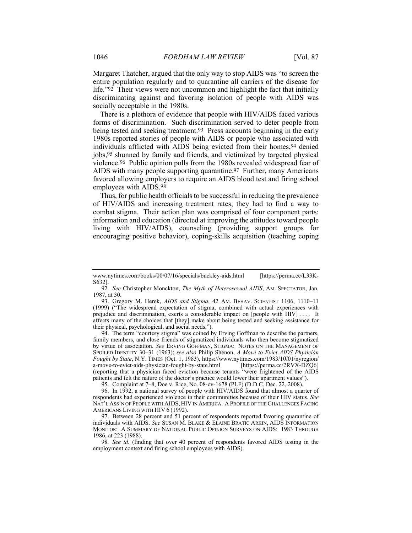Margaret Thatcher, argued that the only way to stop AIDS was "to screen the entire population regularly and to quarantine all carriers of the disease for life."92 Their views were not uncommon and highlight the fact that initially discriminating against and favoring isolation of people with AIDS was socially acceptable in the 1980s.

There is a plethora of evidence that people with HIV/AIDS faced various forms of discrimination. Such discrimination served to deter people from being tested and seeking treatment.93 Press accounts beginning in the early 1980s reported stories of people with AIDS or people who associated with individuals afflicted with AIDS being evicted from their homes,94 denied jobs,95 shunned by family and friends, and victimized by targeted physical violence.96 Public opinion polls from the 1980s revealed widespread fear of AIDS with many people supporting quarantine.97 Further, many Americans favored allowing employers to require an AIDS blood test and firing school employees with AIDS.98

Thus, for public health officials to be successful in reducing the prevalence of HIV/AIDS and increasing treatment rates, they had to find a way to combat stigma. Their action plan was comprised of four component parts: information and education (directed at improving the attitudes toward people living with HIV/AIDS), counseling (providing support groups for encouraging positive behavior), coping-skills acquisition (teaching coping

 94. The term "courtesy stigma" was coined by Erving Goffman to describe the partners, family members, and close friends of stigmatized individuals who then become stigmatized by virtue of association. *See* ERVING GOFFMAN, STIGMA: NOTES ON THE MANAGEMENT OF SPOILED IDENTITY 30–31 (1963); *see also* Philip Shenon, *A Move to Evict AIDS Physician Fought by State*, N.Y. TIMES (Oct. 1, 1983), https://www.nytimes.com/1983/10/01/nyregion/ a-move-to-evict-aids-physician-fought-by-state.html [https://perma.cc/2RVX-DZQ6] (reporting that a physician faced eviction because tenants "were frightened of the AIDS patients and felt the nature of the doctor's practice would lower their apartment values").

95. Complaint at 7–8, Doe v. Rice, No. 08-cv-1678 (PLF) (D.D.C. Dec. 22, 2008).

 96. In 1992, a national survey of people with HIV/AIDS found that almost a quarter of respondents had experienced violence in their communities because of their HIV status. *See* NAT'L ASS'N OF PEOPLE WITH AIDS, HIV IN AMERICA: A PROFILE OF THE CHALLENGES FACING AMERICANS LIVING WITH HIV 6 (1992).

 97. Between 28 percent and 51 percent of respondents reported favoring quarantine of individuals with AIDS. *See* SUSAN M. BLAKE & ELAINE BRATIC ARKIN, AIDS INFORMATION MONITOR: A SUMMARY OF NATIONAL PUBLIC OPINION SURVEYS ON AIDS: 1983 THROUGH 1986, at 223 (1988).

98*. See id.* (finding that over 40 percent of respondents favored AIDS testing in the employment context and firing school employees with AIDS).

www.nytimes.com/books/00/07/16/specials/buckley-aids.html [https://perma.cc/L33K-S632].

<sup>92</sup>*. See* Christopher Monckton, *The Myth of Heterosexual AIDS*, AM. SPECTATOR, Jan. 1987, at 30.

 <sup>93.</sup> Gregory M. Herek, *AIDS and Stigma*, 42 AM. BEHAV. SCIENTIST 1106, 1110–11 (1999) ("The widespread expectation of stigma, combined with actual experiences with prejudice and discrimination, exerts a considerable impact on [people with HIV] . . . . It affects many of the choices that [they] make about being tested and seeking assistance for their physical, psychological, and social needs.").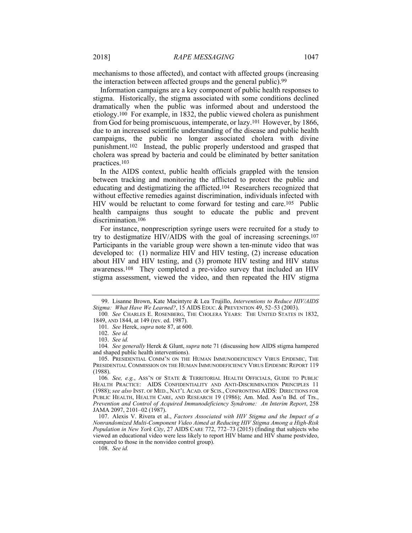mechanisms to those affected), and contact with affected groups (increasing the interaction between affected groups and the general public).99

Information campaigns are a key component of public health responses to stigma. Historically, the stigma associated with some conditions declined dramatically when the public was informed about and understood the etiology.100 For example, in 1832, the public viewed cholera as punishment from God for being promiscuous, intemperate, or lazy.101 However, by 1866, due to an increased scientific understanding of the disease and public health campaigns, the public no longer associated cholera with divine punishment.102 Instead, the public properly understood and grasped that cholera was spread by bacteria and could be eliminated by better sanitation practices.103

In the AIDS context, public health officials grappled with the tension between tracking and monitoring the afflicted to protect the public and educating and destigmatizing the afflicted.104 Researchers recognized that without effective remedies against discrimination, individuals infected with HIV would be reluctant to come forward for testing and care.105 Public health campaigns thus sought to educate the public and prevent discrimination.106

For instance, nonprescription syringe users were recruited for a study to try to destigmatize HIV/AIDS with the goal of increasing screenings.107 Participants in the variable group were shown a ten-minute video that was developed to: (1) normalize HIV and HIV testing, (2) increase education about HIV and HIV testing, and (3) promote HIV testing and HIV status awareness.108 They completed a pre-video survey that included an HIV stigma assessment, viewed the video, and then repeated the HIV stigma

108. *See id.*

 <sup>99.</sup> Lisanne Brown, Kate Macintyre & Lea Trujillo, *Interventions to Reduce HIV/AIDS Stigma: What Have We Learned?*, 15 AIDS EDUC. & PREVENTION 49, 52–53 (2003).

<sup>100</sup>*. See* CHARLES E. ROSENBERG, THE CHOLERA YEARS: THE UNITED STATES IN 1832, 1849, AND 1844, at 149 (rev. ed. 1987).

<sup>101</sup>*. See* Herek, *supra* note 87, at 600.

 <sup>102.</sup> *See id.*

 <sup>103.</sup> *See id.*

<sup>104</sup>*. See generally* Herek & Glunt, *supra* note 71 (discussing how AIDS stigma hampered and shaped public health interventions).

 <sup>105.</sup> PRESIDENTIAL COMM'N ON THE HUMAN IMMUNODEFICIENCY VIRUS EPIDEMIC, THE PRESIDENTIAL COMMISSION ON THE HUMAN IMMUNODEFICIENCY VIRUS EPIDEMIC REPORT 119 (1988).

<sup>106</sup>*. See, e.g.*, ASS'N OF STATE & TERRITORIAL HEALTH OFFICIALS, GUIDE TO PUBLIC HEALTH PRACTICE: AIDS CONFIDENTIALITY AND ANTI-DISCRIMINATION PRINCIPLES 11 (1988); *see also* INST. OF MED., NAT'L ACAD. OF SCIS., CONFRONTING AIDS: DIRECTIONS FOR PUBLIC HEALTH, HEALTH CARE, AND RESEARCH 19 (1986); Am. Med. Ass'n Bd. of Trs., *Prevention and Control of Acquired Immunodeficiency Syndrome: An Interim Report*, 258 JAMA 2097, 2101–02 (1987).

 <sup>107.</sup> Alexis V. Rivera et al., *Factors Associated with HIV Stigma and the Impact of a Nonrandomized Multi-Component Video Aimed at Reducing HIV Stigma Among a High-Risk Population in New York City*, 27 AIDS CARE 772, 772–73 (2015) (finding that subjects who viewed an educational video were less likely to report HIV blame and HIV shame postvideo, compared to those in the nonvideo control group).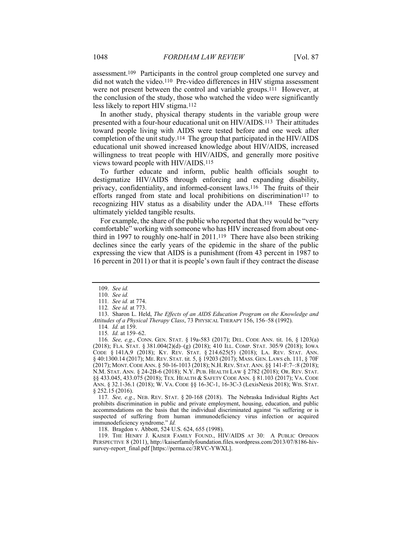assessment.109 Participants in the control group completed one survey and did not watch the video.110 Pre-video differences in HIV stigma assessment were not present between the control and variable groups.111 However, at the conclusion of the study, those who watched the video were significantly less likely to report HIV stigma.112

In another study, physical therapy students in the variable group were presented with a four-hour educational unit on HIV/AIDS.113 Their attitudes toward people living with AIDS were tested before and one week after completion of the unit study.114 The group that participated in the HIV/AIDS educational unit showed increased knowledge about HIV/AIDS, increased willingness to treat people with HIV/AIDS, and generally more positive views toward people with HIV/AIDS.115

To further educate and inform, public health officials sought to destigmatize HIV/AIDS through enforcing and expanding disability, privacy, confidentiality, and informed-consent laws.116 The fruits of their efforts ranged from state and local prohibitions on discrimination<sup>117</sup> to recognizing HIV status as a disability under the ADA.118 These efforts ultimately yielded tangible results.

For example, the share of the public who reported that they would be "very comfortable" working with someone who has HIV increased from about onethird in 1997 to roughly one-half in 2011.119 There have also been striking declines since the early years of the epidemic in the share of the public expressing the view that AIDS is a punishment (from 43 percent in 1987 to 16 percent in 2011) or that it is people's own fault if they contract the disease

116*. See, e.g.*, CONN. GEN. STAT. § 19a-583 (2017); DEL. CODE ANN. tit. 16, § 1203(a) (2018); FLA. STAT. § 381.004(2)(d)–(g) (2018); 410 ILL. COMP. STAT. 305/9 (2018); IOWA CODE § 141A.9 (2018); KY. REV. STAT. § 214.625(5) (2018); LA. REV. STAT. ANN. § 40:1300.14 (2017); ME. REV. STAT. tit. 5, § 19203 (2017); MASS. GEN. LAWS ch. 111, § 70F (2017); MONT.CODE ANN. § 50-16-1013 (2018); N.H.REV. STAT. ANN. §§ 141-F:7–:8 (2018); N.M. STAT. ANN. § 24-2B-6 (2018); N.Y. PUB. HEALTH LAW § 2782 (2018); OR. REV. STAT. §§ 433.045, 433.075 (2018); TEX. HEALTH & SAFETY CODE ANN. § 81.103 (2017); VA. CODE ANN. § 32.1-36.1 (2018); W. VA. CODE §§ 16-3C-1, 16-3C-3 (LexisNexis 2018); WIS. STAT. § 252.15 (2016).

117*. See, e.g.*, NEB. REV. STAT. § 20-168 (2018). The Nebraska Individual Rights Act prohibits discrimination in public and private employment, housing, education, and public accommodations on the basis that the individual discriminated against "is suffering or is suspected of suffering from human immunodeficiency virus infection or acquired immunodeficiency syndrome." *Id.*

118. Bragdon v. Abbott, 524 U.S. 624, 655 (1998).

 119. THE HENRY J. KAISER FAMILY FOUND., HIV/AIDS AT 30: A PUBLIC OPINION PERSPECTIVE 8 (2011), http://kaiserfamilyfoundation.files.wordpress.com/2013/07/8186-hivsurvey-report\_final.pdf [https://perma.cc/3RVC-YWXL].

 <sup>109.</sup> *See id.*

 <sup>110.</sup> *See id.*

<sup>111</sup>*. See id.* at 774.

<sup>112</sup>*. See id.* at 773.

 <sup>113.</sup> Sharon L. Held, *The Effects of an AIDS Education Program on the Knowledge and Attitudes of a Physical Therapy Class*, 73 PHYSICAL THERAPY 156, 156–58 (1992).

<sup>114</sup>*. Id.* at 159.

<sup>115</sup>*. Id.* at 159–62.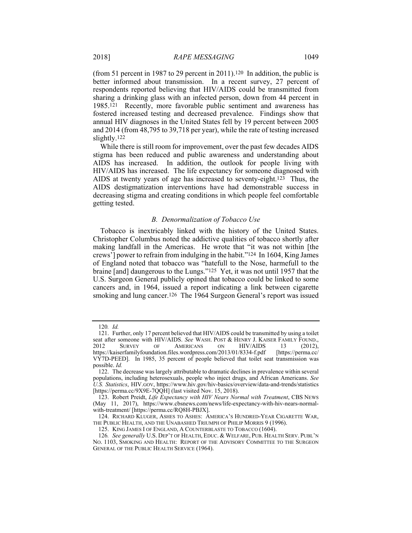(from 51 percent in 1987 to 29 percent in 2011).120 In addition, the public is better informed about transmission. In a recent survey, 27 percent of respondents reported believing that HIV/AIDS could be transmitted from sharing a drinking glass with an infected person, down from 44 percent in 1985.121 Recently, more favorable public sentiment and awareness has fostered increased testing and decreased prevalence. Findings show that annual HIV diagnoses in the United States fell by 19 percent between 2005 and 2014 (from 48,795 to 39,718 per year), while the rate of testing increased slightly.122

While there is still room for improvement, over the past few decades AIDS stigma has been reduced and public awareness and understanding about AIDS has increased. In addition, the outlook for people living with HIV/AIDS has increased. The life expectancy for someone diagnosed with AIDS at twenty years of age has increased to seventy-eight.123 Thus, the AIDS destigmatization interventions have had demonstrable success in decreasing stigma and creating conditions in which people feel comfortable getting tested.

#### *B. Denormalization of Tobacco Use*

Tobacco is inextricably linked with the history of the United States. Christopher Columbus noted the addictive qualities of tobacco shortly after making landfall in the Americas. He wrote that "it was not within [the crews'] power to refrain from indulging in the habit."124 In 1604, King James of England noted that tobacco was "hatefull to the Nose, harmefull to the braine [and] daungerous to the Lungs."125 Yet, it was not until 1957 that the U.S. Surgeon General publicly opined that tobacco could be linked to some cancers and, in 1964, issued a report indicating a link between cigarette smoking and lung cancer.<sup>126</sup> The 1964 Surgeon General's report was issued

<sup>120</sup>*. Id.*

 <sup>121.</sup> Further, only 17 percent believed that HIV/AIDS could be transmitted by using a toilet seat after someone with HIV/AIDS. *See* WASH. POST & HENRY J. KAISER FAMILY FOUND., 2012 SURVEY OF AMERICANS ON HIV/AIDS 13 (2012), https://kaiserfamilyfoundation.files.wordpress.com/2013/01/8334-f.pdf [https://perma.cc/ VY7D-PEED]. In 1985, 35 percent of people believed that toilet seat transmission was possible. *Id.*

 <sup>122.</sup> The decrease was largely attributable to dramatic declines in prevalence within several populations, including heterosexuals, people who inject drugs, and African Americans. *See U.S. Statistics*, HIV.GOV, https://www.hiv.gov/hiv-basics/overview/data-and-trends/statistics [https://perma.cc/9X9E-7QQH] (last visited Nov. 15, 2018).

 <sup>123.</sup> Robert Preidt, *Life Expectancy with HIV Nears Normal with Treatment*, CBS NEWS (May 11, 2017), https://www.cbsnews.com/news/life-expectancy-with-hiv-nears-normalwith-treatment/ [https://perma.cc/RQ8H-PBJX].

 <sup>124.</sup> RICHARD KLUGER, ASHES TO ASHES: AMERICA'S HUNDRED-YEAR CIGARETTE WAR, THE PUBLIC HEALTH, AND THE UNABASHED TRIUMPH OF PHILIP MORRIS 9 (1996).

 <sup>125.</sup> KING JAMES I OF ENGLAND, A COUNTERBLASTE TO TOBACCO (1604).

<sup>126</sup>*. See generally* U.S. DEP'T OF HEALTH, EDUC. & WELFARE, PUB. HEALTH SERV. PUBL'N NO. 1103, SMOKING AND HEALTH: REPORT OF THE ADVISORY COMMITTEE TO THE SURGEON GENERAL OF THE PUBLIC HEALTH SERVICE (1964).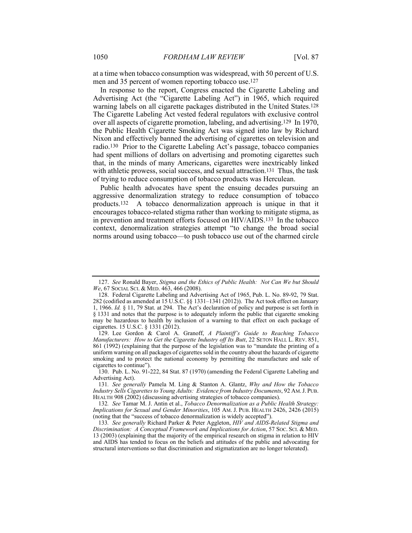at a time when tobacco consumption was widespread, with 50 percent of U.S. men and 35 percent of women reporting tobacco use.127

In response to the report, Congress enacted the Cigarette Labeling and Advertising Act (the "Cigarette Labeling Act") in 1965, which required warning labels on all cigarette packages distributed in the United States.128 The Cigarette Labeling Act vested federal regulators with exclusive control over all aspects of cigarette promotion, labeling, and advertising.129 In 1970, the Public Health Cigarette Smoking Act was signed into law by Richard Nixon and effectively banned the advertising of cigarettes on television and radio.130 Prior to the Cigarette Labeling Act's passage, tobacco companies had spent millions of dollars on advertising and promoting cigarettes such that, in the minds of many Americans, cigarettes were inextricably linked with athletic prowess, social success, and sexual attraction.<sup>131</sup> Thus, the task of trying to reduce consumption of tobacco products was Herculean.

Public health advocates have spent the ensuing decades pursuing an aggressive denormalization strategy to reduce consumption of tobacco products.132 A tobacco denormalization approach is unique in that it encourages tobacco-related stigma rather than working to mitigate stigma, as in prevention and treatment efforts focused on HIV/AIDS.133 In the tobacco context, denormalization strategies attempt "to change the broad social norms around using tobacco—to push tobacco use out of the charmed circle

 <sup>127.</sup> *See* Ronald Bayer, *Stigma and the Ethics of Public Health: Not Can We but Should We*, 67 SOCIAL SCI. & MED. 463, 466 (2008).

 <sup>128.</sup> Federal Cigarette Labeling and Advertising Act of 1965, Pub. L. No. 89-92, 79 Stat. 282 (codified as amended at 15 U.S.C. §§ 1331–1341 (2012)). The Act took effect on January 1, 1966. *Id.* § 11, 79 Stat. at 294. The Act's declaration of policy and purpose is set forth in § 1331 and notes that the purpose is to adequately inform the public that cigarette smoking may be hazardous to health by inclusion of a warning to that effect on each package of cigarettes. 15 U.S.C. § 1331 (2012).

 <sup>129.</sup> Lee Gordon & Carol A. Granoff, *A Plaintiff's Guide to Reaching Tobacco Manufacturers: How to Get the Cigarette Industry off Its Butt, 22 SETON HALL L. REV. 851,* 861 (1992) (explaining that the purpose of the legislation was to "mandate the printing of a uniform warning on all packages of cigarettes sold in the country about the hazards of cigarette smoking and to protect the national economy by permitting the manufacture and sale of cigarettes to continue").

 <sup>130.</sup> Pub. L. No. 91-222, 84 Stat. 87 (1970) (amending the Federal Cigarette Labeling and Advertising Act).

<sup>131</sup>*. See generally* Pamela M. Ling & Stanton A. Glantz, *Why and How the Tobacco Industry Sells Cigarettes to Young Adults: Evidence from Industry Documents*, 92 AM.J. PUB. HEALTH 908 (2002) (discussing advertising strategies of tobacco companies).

<sup>132</sup>*. See* Tamar M. J. Antin et al., *Tobacco Denormalization as a Public Health Strategy: Implications for Sexual and Gender Minorities*, 105 AM. J. PUB. HEALTH 2426, 2426 (2015) (noting that the "success of tobacco denormalization is widely accepted").

<sup>133</sup>*. See generally* Richard Parker & Peter Aggleton, *HIV and AIDS-Related Stigma and Discrimination: A Conceptual Framework and Implications for Action*, 57 SOC. SCI. & MED. 13 (2003) (explaining that the majority of the empirical research on stigma in relation to HIV and AIDS has tended to focus on the beliefs and attitudes of the public and advocating for structural interventions so that discrimination and stigmatization are no longer tolerated).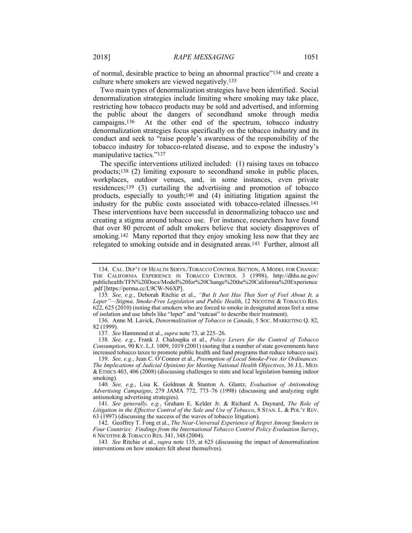of normal, desirable practice to being an abnormal practice"134 and create a culture where smokers are viewed negatively.135

Two main types of denormalization strategies have been identified. Social denormalization strategies include limiting where smoking may take place, restricting how tobacco products may be sold and advertised, and informing the public about the dangers of secondhand smoke through media campaigns.136 At the other end of the spectrum, tobacco industry denormalization strategies focus specifically on the tobacco industry and its conduct and seek to "raise people's awareness of the responsibility of the tobacco industry for tobacco-related disease, and to expose the industry's manipulative tactics."137

The specific interventions utilized included: (1) raising taxes on tobacco products;138 (2) limiting exposure to secondhand smoke in public places, workplaces, outdoor venues, and, in some instances, even private residences;139 (3) curtailing the advertising and promotion of tobacco products, especially to youth;140 and (4) initiating litigation against the industry for the public costs associated with tobacco-related illnesses.141 These interventions have been successful in denormalizing tobacco use and creating a stigma around tobacco use. For instance, researchers have found that over 80 percent of adult smokers believe that society disapproves of smoking.<sup>142</sup> Many reported that they enjoy smoking less now that they are relegated to smoking outside and in designated areas.143 Further, almost all

137*. See* Hammond et al., *supra* note 73, at 225–26.

138*. See, e.g.*, Frank J. Chaloupka et al., *Policy Levers for the Control of Tobacco Consumption*, 90 KY. L.J. 1009, 1019 (2001) (noting that a number of state governments have increased tobacco taxes to promote public health and fund programs that reduce tobacco use).

141*. See generally, e.g.*, Graham E. Kelder Jr. & Richard A. Daynard, *The Role of Litigation in the Effective Control of the Sale and Use of Tobacco*, 8 STAN. L. & POL'Y REV. 63 (1997) (discussing the success of the waves of tobacco litigation).

 142. Geoffrey T. Fong et al., *The Near-Universal Experience of Regret Among Smokers in Four Countries: Findings from the International Tobacco Control Policy Evaluation Survey*, 6 NICOTINE & TOBACCO RES. 341, 348 (2004).

143*. See* Ritchie et al., *supra* note 135, at 625 (discussing the impact of denormalization interventions on how smokers felt about themselves).

 <sup>134.</sup> CAL. DEP'T OF HEALTH SERVS./TOBACCO CONTROL SECTION, A MODEL FOR CHANGE: THE CALIFORNIA EXPERIENCE IN TOBACCO CONTROL 3 (1998), http://dhhs.ne.gov/ publichealth/TFN%20Docs/Model%20for%20Change%20the%20California%20Experience .pdf [https://perma.cc/L9CW-N6XP].

<sup>135</sup>*. See, e.g.*, Deborah Ritchie et al., *"But It Just Has That Sort of Feel About It, a Leper"—Stigma, Smoke-Free Legislation and Public Health*, 12 NICOTINE & TOBACCO RES. 622, 625 (2010) (noting that smokers who are forced to smoke in designated areas feel a sense of isolation and use labels like "leper" and "outcast" to describe their treatment).

 <sup>136.</sup> Anne M. Lavick, *Denormalization of Tobacco in Canada*, 5 SOC. MARKETING Q. 82, 82 (1999).

 <sup>139.</sup> *See, e.g.*, Jean C. O'Connor et al., *Preemption of Local Smoke-Free Air Ordinances: The Implications of Judicial Opinions for Meeting National Health Objectives*, 36 J.L. MED. & ETHICS 403, 406 (2008) (discussing challenges to state and local legislation banning indoor smoking).

<sup>140</sup>*. See, e.g.*, Lisa K. Goldman & Stanton A. Glantz, *Evaluation of Antismoking Advertising Campaigns*, 279 JAMA 772, 773–76 (1998) (discussing and analyzing eight antismoking advertising strategies).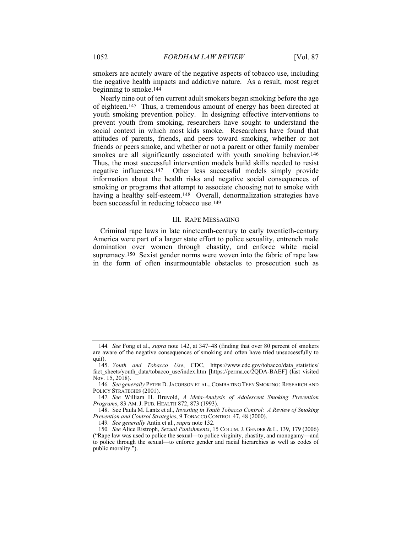smokers are acutely aware of the negative aspects of tobacco use, including the negative health impacts and addictive nature. As a result, most regret beginning to smoke.144

Nearly nine out of ten current adult smokers began smoking before the age of eighteen.145 Thus, a tremendous amount of energy has been directed at youth smoking prevention policy. In designing effective interventions to prevent youth from smoking, researchers have sought to understand the social context in which most kids smoke. Researchers have found that attitudes of parents, friends, and peers toward smoking, whether or not friends or peers smoke, and whether or not a parent or other family member smokes are all significantly associated with youth smoking behavior.<sup>146</sup> Thus, the most successful intervention models build skills needed to resist negative influences.147 Other less successful models simply provide information about the health risks and negative social consequences of smoking or programs that attempt to associate choosing not to smoke with having a healthy self-esteem.<sup>148</sup> Overall, denormalization strategies have been successful in reducing tobacco use.149

#### III. RAPE MESSAGING

Criminal rape laws in late nineteenth-century to early twentieth-century America were part of a larger state effort to police sexuality, entrench male domination over women through chastity, and enforce white racial supremacy.150 Sexist gender norms were woven into the fabric of rape law in the form of often insurmountable obstacles to prosecution such as

149*. See generally* Antin et al., *supra* note 132.

<sup>144</sup>*. See* Fong et al., *supra* note 142, at 347–48 (finding that over 80 percent of smokers are aware of the negative consequences of smoking and often have tried unsuccessfully to quit).

 <sup>145.</sup> *Youth and Tobacco Use*, CDC, https://www.cdc.gov/tobacco/data\_statistics/ fact sheets/youth data/tobacco\_use/index.htm [https://perma.cc/2QDA-BAEF] (last visited Nov. 15, 2018).

<sup>146</sup>*. See generally* PETER D.JACOBSON ET AL.,COMBATING TEEN SMOKING: RESEARCH AND POLICY STRATEGIES (2001).

<sup>147</sup>*. See* William H. Bruvold, *A Meta-Analysis of Adolescent Smoking Prevention Programs*, 83 AM. J. PUB. HEALTH 872, 873 (1993).

 <sup>148.</sup> See Paula M. Lantz et al., *Investing in Youth Tobacco Control: A Review of Smoking Prevention and Control Strategies*, 9 TOBACCO CONTROL 47, 48 (2000).

<sup>150</sup>*. See* Alice Ristroph, *Sexual Punishments*, 15 COLUM. J. GENDER & L. 139, 179 (2006) ("Rape law was used to police the sexual—to police virginity, chastity, and monogamy—and to police through the sexual—to enforce gender and racial hierarchies as well as codes of public morality.").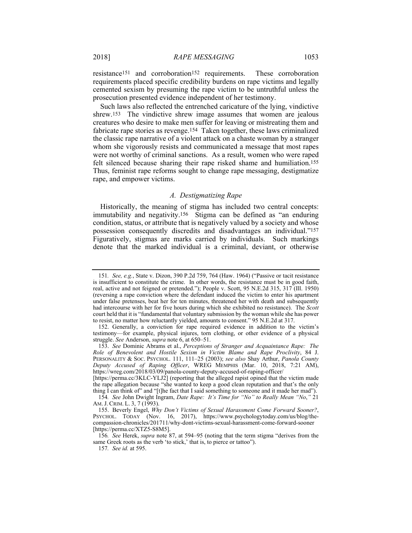resistance<sup>151</sup> and corroboration<sup>152</sup> requirements. These corroboration requirements placed specific credibility burdens on rape victims and legally cemented sexism by presuming the rape victim to be untruthful unless the prosecution presented evidence independent of her testimony.

Such laws also reflected the entrenched caricature of the lying, vindictive shrew.153 The vindictive shrew image assumes that women are jealous creatures who desire to make men suffer for leaving or mistreating them and fabricate rape stories as revenge.154 Taken together, these laws criminalized the classic rape narrative of a violent attack on a chaste woman by a stranger whom she vigorously resists and communicated a message that most rapes were not worthy of criminal sanctions. As a result, women who were raped felt silenced because sharing their rape risked shame and humiliation.155 Thus, feminist rape reforms sought to change rape messaging, destigmatize rape, and empower victims.

#### *A. Destigmatizing Rape*

Historically, the meaning of stigma has included two central concepts: immutability and negativity.156 Stigma can be defined as "an enduring condition, status, or attribute that is negatively valued by a society and whose possession consequently discredits and disadvantages an individual."157 Figuratively, stigmas are marks carried by individuals. Such markings denote that the marked individual is a criminal, deviant, or otherwise

<sup>151</sup>*. See, e.g.*, State v. Dizon, 390 P.2d 759, 764 (Haw. 1964) ("Passive or tacit resistance is insufficient to constitute the crime. In other words, the resistance must be in good faith, real, active and not feigned or pretended."); People v. Scott, 95 N.E.2d 315, 317 (Ill. 1950) (reversing a rape conviction where the defendant induced the victim to enter his apartment under false pretenses, beat her for ten minutes, threatened her with death and subsequently had intercourse with her for five hours during which she exhibited no resistance). The *Scott* court held that it is "fundamental that voluntary submission by the woman while she has power to resist, no matter how reluctantly yielded, amounts to consent." 95 N.E.2d at 317.

 <sup>152.</sup> Generally, a conviction for rape required evidence in addition to the victim's testimony—for example, physical injures, torn clothing, or other evidence of a physical struggle. *See* Anderson, *supra* note 6, at 650–51.

 <sup>153.</sup> *See* Dominic Abrams et al., *Perceptions of Stranger and Acquaintance Rape: The Role of Benevolent and Hostile Sexism in Victim Blame and Rape Proclivity*, 84 J. PERSONALITY & SOC. PSYCHOL. 111, 111–25 (2003); *see also* Shay Arthur, *Panola County Deputy Accused of Raping Officer*, WREG MEMPHIS (Mar. 10, 2018, 7:21 AM), https://wreg.com/2018/03/09/panola-county-deputy-accused-of-raping-officer/

<sup>[</sup>https://perma.cc/3KLC-YLJ2] (reporting that the alleged rapist opined that the victim made the rape allegation because "she wanted to keep a good clean reputation and that's the only thing I can think of" and "[t]he fact that I said something to someone and it made her mad").

<sup>154</sup>*. See* John Dwight Ingram, *Date Rape: It's Time for "No" to Really Mean "No*,*"* 21 AM. J. CRIM. L. 3, 7 (1993).

 <sup>155.</sup> Beverly Engel, *Why Don't Victims of Sexual Harassment Come Forward Sooner?*, PSYCHOL. TODAY (Nov. 16, 2017), https://www.psychologytoday.com/us/blog/thecompassion-chronicles/201711/why-dont-victims-sexual-harassment-come-forward-sooner [https://perma.cc/XTZ5-S8M5].

<sup>156</sup>*. See* Herek, *supra* note 87, at 594–95 (noting that the term stigma "derives from the same Greek roots as the verb 'to stick,' that is, to pierce or tattoo").

<sup>157</sup>*. See id.* at 595.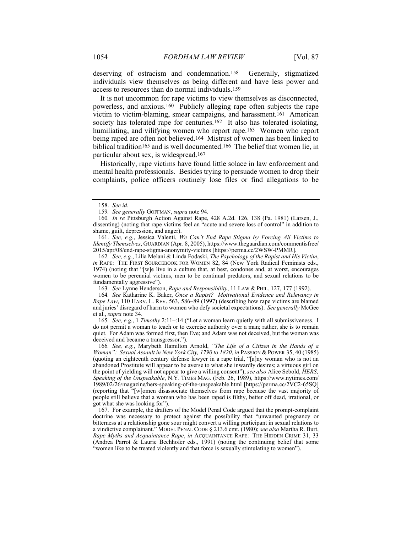deserving of ostracism and condemnation.158 Generally, stigmatized individuals view themselves as being different and have less power and access to resources than do normal individuals.159

It is not uncommon for rape victims to view themselves as disconnected, powerless, and anxious.160 Publicly alleging rape often subjects the rape victim to victim-blaming, smear campaigns, and harassment.161 American society has tolerated rape for centuries.<sup>162</sup> It also has tolerated isolating, humiliating, and vilifying women who report rape.163 Women who report being raped are often not believed.164 Mistrust of women has been linked to biblical tradition165 and is well documented.166 The belief that women lie, in particular about sex, is widespread.167

Historically, rape victims have found little solace in law enforcement and mental health professionals. Besides trying to persuade women to drop their complaints, police officers routinely lose files or find allegations to be

 161. *See, e.g.*, Jessica Valenti, *We Can't End Rape Stigma by Forcing All Victims to Identify Themselves*, GUARDIAN (Apr. 8, 2005), https://www.theguardian.com/commentisfree/ 2015/apr/08/end-rape-stigma-anonymity-victims [https://perma.cc/2WSW-PMMR].

162*. See, e.g.*, Lilia Melani & Linda Fodaski, *The Psychology of the Rapist and His Victim*, *in* RAPE: THE FIRST SOURCEBOOK FOR WOMEN 82, 84 (New York Radical Feminists eds., 1974) (noting that "[w]e live in a culture that, at best, condones and, at worst, encourages women to be perennial victims, men to be continual predators, and sexual relations to be fundamentally aggressive").

163*. See* Lynne Henderson, *Rape and Responsibility*, 11 LAW & PHIL. 127, 177 (1992).

164*. See* Katharine K. Baker, *Once a Rapist? Motivational Evidence and Relevancy in Rape Law*, 110 HARV. L. REV. 563, 586–89 (1997) (describing how rape victims are blamed and juries' disregard of harm to women who defy societal expectations). *See generally* McGee et al., *supra* note 34.

165*. See, e.g.*, 1 *Timothy* 2:11–:14 ("Let a woman learn quietly with all submissiveness. I do not permit a woman to teach or to exercise authority over a man; rather, she is to remain quiet. For Adam was formed first, then Eve; and Adam was not deceived, but the woman was deceived and became a transgressor.").

166*. See, e.g.*, Marybeth Hamilton Arnold, *"The Life of a Citizen in the Hands of a Woman": Sexual Assault in New York City, 1790 to 1820*, *in* PASSION & POWER 35, 40 (1985) (quoting an eighteenth century defense lawyer in a rape trial, "[a]ny woman who is not an abandoned Prostitute will appear to be averse to what she inwardly desires; a virtuous girl on the point of yielding will not appear to give a willing consent"); *see also* Alice Sebold, *HERS; Speaking of the Unspeakable*, N.Y. TIMES MAG. (Feb. 26, 1989), https://www.nytimes.com/ 1989/02/26/magazine/hers-speaking-of-the-unspeakable.html [https://perma.cc/2VC2-65SQ] (reporting that "[w]omen disassociate themselves from rape because the vast majority of people still believe that a woman who has been raped is filthy, better off dead, irrational, or got what she was looking for").

 167. For example, the drafters of the Model Penal Code argued that the prompt-complaint doctrine was necessary to protect against the possibility that "unwanted pregnancy or bitterness at a relationship gone sour might convert a willing participant in sexual relations to a vindictive complainant." MODEL PENAL CODE § 213.6 cmt. (1980); *see also* Martha R. Burt, *Rape Myths and Acquaintance Rape*, *in* ACQUAINTANCE RAPE: THE HIDDEN CRIME 31, 33 (Andrea Parrot & Laurie Bechhofer eds., 1991) (noting the continuing belief that some "women like to be treated violently and that force is sexually stimulating to women").

 <sup>158.</sup> *See id.*

<sup>159</sup>*. See generally* GOFFMAN, *supra* note 94.

<sup>160</sup>*. In re* Pittsburgh Action Against Rape, 428 A.2d. 126, 138 (Pa. 1981) (Larsen, J., dissenting) (noting that rape victims feel an "acute and severe loss of control" in addition to shame, guilt, depression, and anger).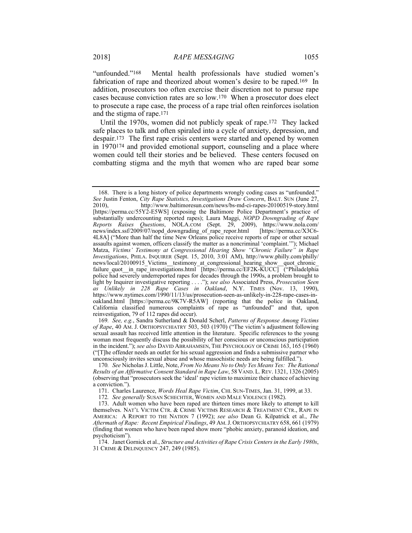"unfounded."168 Mental health professionals have studied women's fabrication of rape and theorized about women's desire to be raped.169 In addition, prosecutors too often exercise their discretion not to pursue rape cases because conviction rates are so low.170 When a prosecutor does elect to prosecute a rape case, the process of a rape trial often reinforces isolation and the stigma of rape.171

Until the 1970s, women did not publicly speak of rape.172 They lacked safe places to talk and often spiraled into a cycle of anxiety, depression, and despair.173 The first rape crisis centers were started and opened by women in 1970174 and provided emotional support, counseling and a place where women could tell their stories and be believed. These centers focused on combatting stigma and the myth that women who are raped bear some

 <sup>168.</sup> There is a long history of police departments wrongly coding cases as "unfounded." *See* Justin Fenton, *City Rape Statistics, Investigations Draw Concern*, BALT. SUN (June 27, 2010), http://www.baltimoresun.com/news/bs-md-ci-rapes-20100519-story.html [https://perma.cc/55Y2-E5WS] (exposing the Baltimore Police Department's practice of substantially undercounting reported rapes); Laura Maggi, *NOPD Downgrading of Rape Reports Raises Questions*, NOLA.COM (Sept. 29, 2009), https://www.nola.com/ news/index.ssf/2009/07/nopd\_downgrading\_of\_rape\_repor.html [https://perma.cc/X3C6- 4L8A] ("More than half the time New Orleans police receive reports of rape or other sexual assaults against women, officers classify the matter as a noncriminal 'complaint.'"); Michael Matza, *Victims' Testimony at Congressional Hearing Show "Chronic Failure" in Rape Investigations*, PHILA. INQUIRER (Sept. 15, 2010, 3:01 AM), http://www.philly.com/philly/ news/local/20100915 Victims testimony at congressional hearing show quot chronic failure quot in rape investigations.html [https://perma.cc/EF2K-KUCC] ("Philadelphia" police had severely underreported rapes for decades through the 1990s, a problem brought to light by Inquirer investigative reporting . . . ."); *see also* Associated Press, *Prosecution Seen as Unlikely in 228 Rape Cases in Oakland*, N.Y. TIMES (Nov. 13, 1990), https://www.nytimes.com/1990/11/13/us/prosecution-seen-as-unlikely-in-228-rape-cases-inoakland.html [https://perma.cc/9K7V-R5AW] (reporting that the police in Oakland, California classified numerous complaints of rape as "unfounded" and that, upon reinvestigation, 79 of 112 rapes did occur).

<sup>169</sup>*. See, e.g.*, Sandra Sutherland & Donald Scherl, *Patterns of Response Among Victims of Rape*, 40 AM. J. ORTHOPSYCHIATRY 503, 503 (1970) ("The victim's adjustment following sexual assault has received little attention in the literature. Specific references to the young woman most frequently discuss the possibility of her conscious or unconscious participation in the incident."); *see also* DAVID ABRAHAMSEN, THE PSYCHOLOGY OF CRIME 163, 165 (1960) ("[T]he offender needs an outlet for his sexual aggression and finds a submissive partner who unconsciously invites sexual abuse and whose masochistic needs are being fulfilled.").

<sup>170</sup>*. See* Nicholas J. Little, Note, *From No Means No to Only Yes Means Yes: The Rational Results of an Affirmative Consent Standard in Rape Law*, 58 VAND. L.REV. 1321, 1326 (2005) (observing that "prosecutors seek the 'ideal' rape victim to maximize their chance of achieving a conviction.").

 <sup>171.</sup> Charles Laurence, *Words Heal Rape Victim*, CHI. SUN-TIMES, Jan. 31, 1999, at 33.

<sup>172</sup>*. See generally* SUSAN SCHECHTER, WOMEN AND MALE VIOLENCE (1982).

 <sup>173.</sup> Adult women who have been raped are thirteen times more likely to attempt to kill themselves. NAT'L VICTIM CTR. & CRIME VICTIMS RESEARCH & TREATMENT CTR., RAPE IN AMERICA: A REPORT TO THE NATION 7 (1992); *see also* Dean G. Kilpatrick et al., *The Aftermath of Rape: Recent Empirical Findings*, 49 AM.J. ORTHOPSYCHIATRY 658, 661 (1979) (finding that women who have been raped show more "phobic anxiety, paranoid ideation, and psychoticism").

 <sup>174.</sup> Janet Gornick et al., *Structure and Activities of Rape Crisis Centers in the Early 1980s*, 31 CRIME & DELINQUENCY 247, 249 (1985).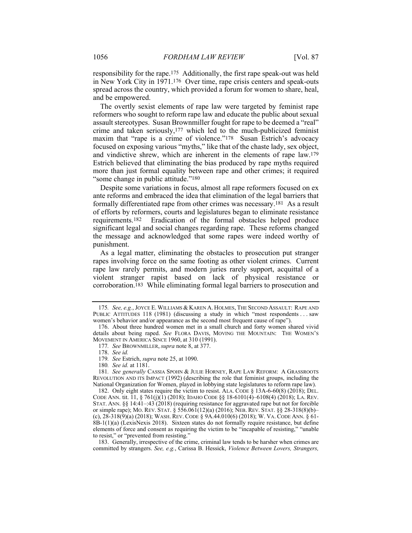responsibility for the rape.175 Additionally, the first rape speak-out was held in New York City in 1971.176 Over time, rape crisis centers and speak-outs spread across the country, which provided a forum for women to share, heal, and be empowered.

The overtly sexist elements of rape law were targeted by feminist rape reformers who sought to reform rape law and educate the public about sexual assault stereotypes. Susan Brownmiller fought for rape to be deemed a "real" crime and taken seriously,177 which led to the much-publicized feminist maxim that "rape is a crime of violence."<sup>178</sup> Susan Estrich's advocacy focused on exposing various "myths," like that of the chaste lady, sex object, and vindictive shrew, which are inherent in the elements of rape law.179 Estrich believed that eliminating the bias produced by rape myths required more than just formal equality between rape and other crimes; it required "some change in public attitude."180

Despite some variations in focus, almost all rape reformers focused on ex ante reforms and embraced the idea that elimination of the legal barriers that formally differentiated rape from other crimes was necessary.181 As a result of efforts by reformers, courts and legislatures began to eliminate resistance requirements.182 Eradication of the formal obstacles helped produce significant legal and social changes regarding rape. These reforms changed the message and acknowledged that some rapes were indeed worthy of punishment.

As a legal matter, eliminating the obstacles to prosecution put stranger rapes involving force on the same footing as other violent crimes. Current rape law rarely permits, and modern juries rarely support, acquittal of a violent stranger rapist based on lack of physical resistance or corroboration.183 While eliminating formal legal barriers to prosecution and

180*. See id.* at 1181.

181*. See generally* CASSIA SPOHN & JULIE HORNEY, RAPE LAW REFORM: A GRASSROOTS REVOLUTION AND ITS IMPACT (1992) (describing the role that feminist groups, including the National Organization for Women, played in lobbying state legislatures to reform rape law).

 182. Only eight states require the victim to resist. ALA. CODE § 13A-6-60(8) (2018); DEL. CODE ANN. tit. 11, § 761(j)(1) (2018); IDAHO CODE §§ 18-6101(4)–6108(4) (2018); LA. REV. STAT. ANN. §§ 14:41–:43 (2018) (requiring resistance for aggravated rape but not for forcible or simple rape); MO. REV. STAT. § 556.061(12)(a) (2016); NEB. REV. STAT. §§ 28-318(8)(b)– (c), 28-318(9)(a) (2018); WASH. REV. CODE § 9A.44.010(6) (2018); W. VA. CODE ANN. § 61-  $8B-1(1)(a)$  (LexisNexis 2018). Sixteen states do not formally require resistance, but define elements of force and consent as requiring the victim to be "incapable of resisting," "unable to resist," or "prevented from resisting."

 183. Generally, irrespective of the crime, criminal law tends to be harsher when crimes are committed by strangers. *See, e.g.*, Carissa B. Hessick, *Violence Between Lovers, Strangers,* 

<sup>175</sup>*. See, e.g.*, JOYCE E. WILLIAMS & KAREN A. HOLMES, THE SECOND ASSAULT: RAPE AND PUBLIC ATTITUDES 118 (1981) (discussing a study in which "most respondents . . . saw women's behavior and/or appearance as the second most frequent cause of rape").

 <sup>176.</sup> About three hundred women met in a small church and forty women shared vivid details about being raped. *See* FLORA DAVIS, MOVING THE MOUNTAIN: THE WOMEN'S MOVEMENT IN AMERICA SINCE 1960, at 310 (1991).

<sup>177</sup>*. See* BROWNMILLER, *supra* note 8, at 377.

 <sup>178.</sup> *See id.*

<sup>179</sup>*. See* Estrich, *supra* note 25, at 1090.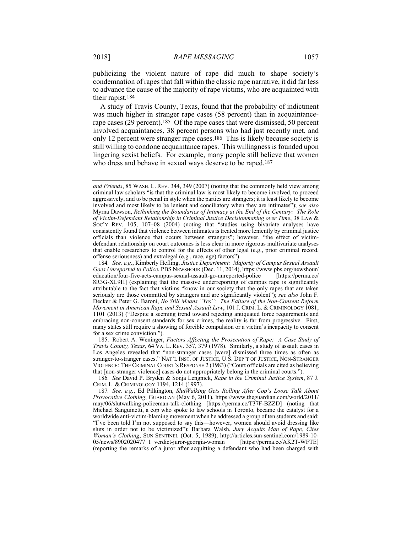publicizing the violent nature of rape did much to shape society's condemnation of rapes that fall within the classic rape narrative, it did far less to advance the cause of the majority of rape victims, who are acquainted with their rapist.184

A study of Travis County, Texas, found that the probability of indictment was much higher in stranger rape cases (58 percent) than in acquaintancerape cases (29 percent).185 Of the rape cases that were dismissed, 50 percent involved acquaintances, 38 percent persons who had just recently met, and only 12 percent were stranger rape cases.186 This is likely because society is still willing to condone acquaintance rapes. This willingness is founded upon lingering sexist beliefs. For example, many people still believe that women who dress and behave in sexual ways deserve to be raped.<sup>187</sup>

 185. Robert A. Weninger, *Factors Affecting the Prosecution of Rape: A Case Study of Travis County, Texas*, 64 VA. L. REV. 357, 379 (1978). Similarly, a study of assault cases in Los Angeles revealed that "non-stranger cases [were] dismissed three times as often as stranger-to-stranger cases." NAT'L INST. OF JUSTICE, U.S. DEP'T OF JUSTICE, NON-STRANGER VIOLENCE: THE CRIMINAL COURT'S RESPONSE 2 (1983) ("Court officials are cited as believing that [non-stranger violence] cases do not appropriately belong in the criminal courts.").

186*. See* David P. Bryden & Sonja Lengnick, *Rape in the Criminal Justice System*, 87 J. CRIM. L. & CRIMINOLOGY 1194, 1214 (1997).

187*. See, e.g.*, Ed Pilkington, *SlutWalking Gets Rolling After Cop's Loose Talk About Provocative Clothing*, GUARDIAN (May 6, 2011), https://www.theguardian.com/world/2011/ may/06/slutwalking-policeman-talk-clothing [https://perma.cc/T37F-BZZD] (noting that Michael Sanguinetti, a cop who spoke to law schools in Toronto, became the catalyst for a worldwide anti-victim-blaming movement when he addressed a group of ten students and said: "I've been told I'm not supposed to say this—however, women should avoid dressing like sluts in order not to be victimized"); Barbara Walsh, *Jury Acquits Man of Rape, Cites Woman's Clothing*, SUN SENTINEL (Oct. 5, 1989), http://articles.sun-sentinel.com/1989-10- 05/news/8902020477\_1\_verdict-juror-georgia-woman [https://perma.cc/AK2T-WFTE] (reporting the remarks of a juror after acquitting a defendant who had been charged with

*and Friends*, 85 WASH. L. REV. 344, 349 (2007) (noting that the commonly held view among criminal law scholars "is that the criminal law is most likely to become involved, to proceed aggressively, and to be penal in style when the parties are strangers; it is least likely to become involved and most likely to be lenient and conciliatory when they are intimates"); *see also* Myrna Dawson, *Rethinking the Boundaries of Intimacy at the End of the Century: The Role of Victim-Defendant Relationship in Criminal Justice Decisionmaking over Time*, 38 LAW & Soc'y Rev. 105, 107-08 (2004) (noting that "studies using bivariate analyses have consistently found that violence between intimates is treated more leniently by criminal justice officials than violence that occurs between strangers"; however, "the effect of victimdefendant relationship on court outcomes is less clear in more rigorous multivariate analyses that enable researchers to control for the effects of other legal (e.g., prior criminal record, offense seriousness) and extralegal (e.g., race, age) factors").

<sup>184</sup>*. See, e.g.*, Kimberly Hefling, *Justice Department: Majority of Campus Sexual Assault Goes Unreported to Police*, PBS NEWSHOUR (Dec. 11, 2014), https://www.pbs.org/newshour/ education/four-five-acts-campus-sexual-assault-go-unreported-police [https://perma.cc/ 8R3G-XL9H] (explaining that the massive underreporting of campus rape is significantly attributable to the fact that victims "know in our society that the only rapes that are taken seriously are those committed by strangers and are significantly violent"); *see also* John F. Decker & Peter G. Baroni, *No Still Means "Yes": The Failure of the Non-Consent Reform Movement in American Rape and Sexual Assault Law*, 101 J. CRIM. L. & CRIMINOLOGY 1081, 1101 (2013) ("Despite a seeming trend toward rejecting antiquated force requirements and embracing non-consent standards for sex crimes, the reality is far from progressive. First, many states still require a showing of forcible compulsion or a victim's incapacity to consent for a sex crime conviction.").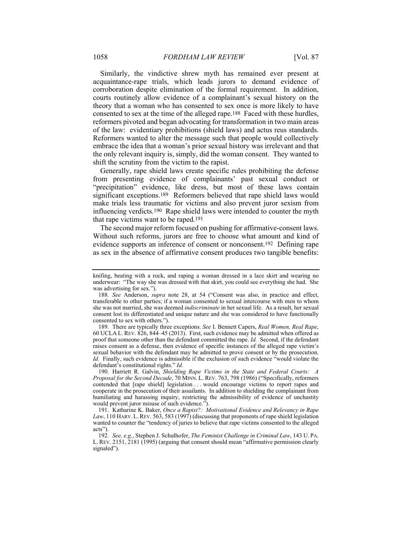Similarly, the vindictive shrew myth has remained ever present at acquaintance-rape trials, which leads jurors to demand evidence of corroboration despite elimination of the formal requirement. In addition, courts routinely allow evidence of a complainant's sexual history on the theory that a woman who has consented to sex once is more likely to have consented to sex at the time of the alleged rape.188 Faced with these hurdles, reformers pivoted and began advocating for transformation in two main areas of the law: evidentiary prohibitions (shield laws) and actus reus standards. Reformers wanted to alter the message such that people would collectively embrace the idea that a woman's prior sexual history was irrelevant and that the only relevant inquiry is, simply, did the woman consent. They wanted to shift the scrutiny from the victim to the rapist.

Generally, rape shield laws create specific rules prohibiting the defense from presenting evidence of complainants' past sexual conduct or "precipitation" evidence, like dress, but most of these laws contain significant exceptions.189 Reformers believed that rape shield laws would make trials less traumatic for victims and also prevent juror sexism from influencing verdicts.190 Rape shield laws were intended to counter the myth that rape victims want to be raped.191

The second major reform focused on pushing for affirmative-consent laws. Without such reforms, jurors are free to choose what amount and kind of evidence supports an inference of consent or nonconsent.192 Defining rape as sex in the absence of affirmative consent produces two tangible benefits:

knifing, beating with a rock, and raping a woman dressed in a lace skirt and wearing no underwear: "The way she was dressed with that skirt, you could see everything she had. She was advertising for sex.").

<sup>188</sup>*. See* Anderson, *supra* note 28, at 54 ("Consent was also, in practice and effect, transferable to other parties; if a woman consented to sexual intercourse with men to whom she was not married, she was deemed *indiscriminate* in her sexual life. As a result, her sexual consent lost its differentiated and unique nature and she was considered to have functionally consented to sex with others.").

 <sup>189.</sup> There are typically three exceptions. *See* I. Bennett Capers, *Real Women, Real Rape*, 60 UCLA L. REV.  $\overline{826}$ ,  $\overline{844}$ -45 (2013). First, such evidence may be admitted when offered as proof that someone other than the defendant committed the rape. *Id.* Second, if the defendant raises consent as a defense, then evidence of specific instances of the alleged rape victim's sexual behavior with the defendant may be admitted to prove consent or by the prosecution. *Id.* Finally, such evidence is admissible if the exclusion of such evidence "would violate the defendant's constitutional rights." *Id.*

 <sup>190.</sup> Harriett R. Galvin, *Shielding Rape Victims in the State and Federal Courts: A Proposal for the Second Decade*, 70 MINN. L. REV. 763, 798 (1986) ("Specifically, reformers contended that [rape shield] legislation . . . would encourage victims to report rapes and cooperate in the prosecution of their assailants. In addition to shielding the complainant from humiliating and harassing inquiry, restricting the admissibility of evidence of unchastity would prevent juror misuse of such evidence.").

 <sup>191.</sup> Katharine K. Baker, *Once a Rapist?: Motivational Evidence and Relevancy in Rape Law*, 110 HARV. L. REV. 563, 583 (1997) (discussing that proponents of rape shield legislation wanted to counter the "tendency of juries to believe that rape victims consented to the alleged acts").

<sup>192</sup>*. See, e.g.*, Stephen J. Schulhofer, *The Feminist Challenge in Criminal Law*, 143 U. PA. L. REV. 2151, 2181 (1995) (arguing that consent should mean "affirmative permission clearly signaled").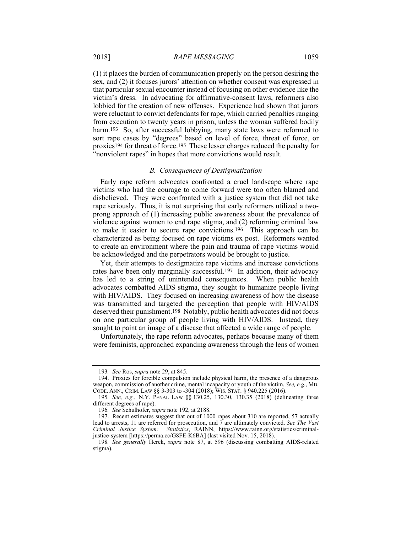(1) it places the burden of communication properly on the person desiring the sex, and (2) it focuses jurors' attention on whether consent was expressed in that particular sexual encounter instead of focusing on other evidence like the victim's dress. In advocating for affirmative-consent laws, reformers also lobbied for the creation of new offenses. Experience had shown that jurors were reluctant to convict defendants for rape, which carried penalties ranging from execution to twenty years in prison, unless the woman suffered bodily harm.<sup>193</sup> So, after successful lobbying, many state laws were reformed to sort rape cases by "degrees" based on level of force, threat of force, or proxies194 for threat of force.195 These lesser charges reduced the penalty for "nonviolent rapes" in hopes that more convictions would result.

# *B. Consequences of Destigmatization*

Early rape reform advocates confronted a cruel landscape where rape victims who had the courage to come forward were too often blamed and disbelieved. They were confronted with a justice system that did not take rape seriously. Thus, it is not surprising that early reformers utilized a twoprong approach of (1) increasing public awareness about the prevalence of violence against women to end rape stigma, and (2) reforming criminal law to make it easier to secure rape convictions.196 This approach can be characterized as being focused on rape victims ex post. Reformers wanted to create an environment where the pain and trauma of rape victims would be acknowledged and the perpetrators would be brought to justice.

Yet, their attempts to destigmatize rape victims and increase convictions rates have been only marginally successful.197 In addition, their advocacy has led to a string of unintended consequences. When public health advocates combatted AIDS stigma, they sought to humanize people living with HIV/AIDS. They focused on increasing awareness of how the disease was transmitted and targeted the perception that people with HIV/AIDS deserved their punishment.198 Notably, public health advocates did not focus on one particular group of people living with HIV/AIDS. Instead, they sought to paint an image of a disease that affected a wide range of people.

Unfortunately, the rape reform advocates, perhaps because many of them were feminists, approached expanding awareness through the lens of women

<sup>193</sup>*. See* Ros, *supra* note 29, at 845.

 <sup>194.</sup> Proxies for forcible compulsion include physical harm, the presence of a dangerous weapon, commission of another crime, mental incapacity or youth of the victim. *See, e.g.*, MD. CODE. ANN., CRIM. LAW §§ 3-303 to -304 (2018); WIS. STAT. § 940.225 (2016).

<sup>195</sup>*. See, e.g.*, N.Y. PENAL LAW §§ 130.25, 130.30, 130.35 (2018) (delineating three different degrees of rape).

<sup>196</sup>*. See* Schulhofer, *supra* note 192, at 2188.

 <sup>197.</sup> Recent estimates suggest that out of 1000 rapes about 310 are reported, 57 actually lead to arrests, 11 are referred for prosecution, and 7 are ultimately convicted. *See The Vast Criminal Justice System: Statistics*, RAINN, https://www.rainn.org/statistics/criminaljustice-system [https://perma.cc/G8FE-K6BA] (last visited Nov. 15, 2018).

<sup>198</sup>*. See generally* Herek, *supra* note 87, at 596 (discussing combatting AIDS-related stigma).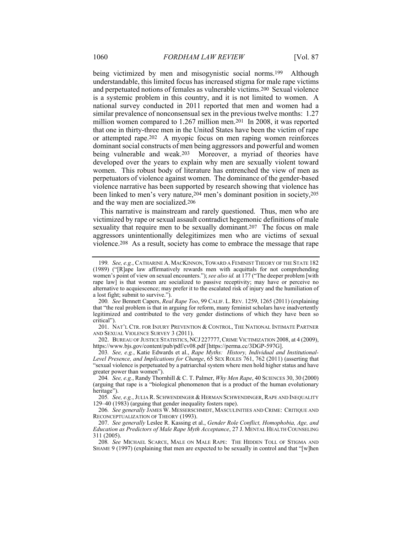being victimized by men and misogynistic social norms.<sup>199</sup> Although understandable, this limited focus has increased stigma for male rape victims and perpetuated notions of females as vulnerable victims.200 Sexual violence is a systemic problem in this country, and it is not limited to women. A national survey conducted in 2011 reported that men and women had a similar prevalence of nonconsensual sex in the previous twelve months: 1.27 million women compared to 1.267 million men.201 In 2008, it was reported that one in thirty-three men in the United States have been the victim of rape or attempted rape.202 A myopic focus on men raping women reinforces dominant social constructs of men being aggressors and powerful and women being vulnerable and weak.203 Moreover, a myriad of theories have developed over the years to explain why men are sexually violent toward women. This robust body of literature has entrenched the view of men as perpetuators of violence against women. The dominance of the gender-based violence narrative has been supported by research showing that violence has been linked to men's very nature,204 men's dominant position in society,205 and the way men are socialized.206

This narrative is mainstream and rarely questioned. Thus, men who are victimized by rape or sexual assault contradict hegemonic definitions of male sexuality that require men to be sexually dominant.<sup>207</sup> The focus on male aggressors unintentionally delegitimizes men who are victims of sexual violence.208 As a result, society has come to embrace the message that rape

 202. BUREAU OF JUSTICE STATISTICS, NCJ 227777,CRIME VICTIMIZATION 2008, at 4 (2009), https://www.bjs.gov/content/pub/pdf/cv08.pdf [https://perma.cc/3DGP-597G].

205. See, e.g., JULIA R. SCHWENDINGER & HERMAN SCHWENDINGER, RAPE AND INEQUALITY 129–40 (1983) (arguing that gender inequality fosters rape).

<sup>199</sup>*. See, e.g.*, CATHARINE A. MACKINNON, TOWARD A FEMINIST THEORY OF THE STATE 182 (1989) ("[R]ape law affirmatively rewards men with acquittals for not comprehending women's point of view on sexual encounters."); *see also id.* at 177 ("The deeper problem [with rape law] is that women are socialized to passive receptivity; may have or perceive no alternative to acquiescence; may prefer it to the escalated risk of injury and the humiliation of a lost fight; submit to survive.").

<sup>200</sup>*. See* Bennett Capers, *Real Rape Too*, 99 CALIF. L. REV. 1259, 1265 (2011) (explaining that "the real problem is that in arguing for reform, many feminist scholars have inadvertently legitimized and contributed to the very gender distinctions of which they have been so critical").

 <sup>201.</sup> NAT'L CTR. FOR INJURY PREVENTION & CONTROL, THE NATIONAL INTIMATE PARTNER AND SEXUAL VIOLENCE SURVEY 3 (2011).

<sup>203</sup>*. See, e.g.*, Katie Edwards et al., *Rape Myths: History, Individual and Institutional-Level Presence, and Implications for Change*, 65 SEX ROLES 761, 762 (2011) (asserting that "sexual violence is perpetuated by a patriarchal system where men hold higher status and have greater power than women").

<sup>204</sup>*. See, e.g.*, Randy Thornhill & C. T. Palmer, *Why Men Rape*, 40 SCIENCES 30, 30 (2000) (arguing that rape is a "biological phenomenon that is a product of the human evolutionary heritage").

<sup>206</sup>*. See generally* JAMES W. MESSERSCHMIDT, MASCULINITIES AND CRIME: CRITIQUE AND RECONCEPTUALIZATION OF THEORY (1993).

 <sup>207.</sup> *See generally* Leslee R. Kassing et al., *Gender Role Conflict, Homophobia, Age, and Education as Predictors of Male Rape Myth Acceptance*, 27 J. MENTAL HEALTH COUNSELING 311 (2005).

<sup>208</sup>*. See* MICHAEL SCARCE, MALE ON MALE RAPE: THE HIDDEN TOLL OF STIGMA AND SHAME 9 (1997) (explaining that men are expected to be sexually in control and that "[w]hen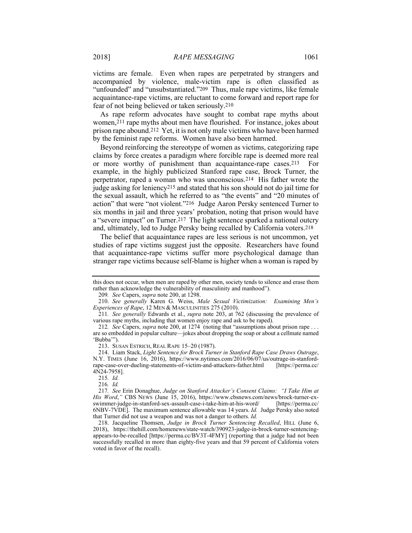victims are female. Even when rapes are perpetrated by strangers and accompanied by violence, male-victim rape is often classified as "unfounded" and "unsubstantiated."209 Thus, male rape victims, like female acquaintance-rape victims, are reluctant to come forward and report rape for fear of not being believed or taken seriously.210

As rape reform advocates have sought to combat rape myths about women,<sup>211</sup> rape myths about men have flourished. For instance, jokes about prison rape abound.212 Yet, it is not only male victims who have been harmed by the feminist rape reforms. Women have also been harmed.

Beyond reinforcing the stereotype of women as victims, categorizing rape claims by force creates a paradigm where forcible rape is deemed more real or more worthy of punishment than acquaintance-rape cases.213 For example, in the highly publicized Stanford rape case, Brock Turner, the perpetrator, raped a woman who was unconscious.214 His father wrote the judge asking for leniency215 and stated that his son should not do jail time for the sexual assault, which he referred to as "the events" and "20 minutes of action" that were "not violent."216 Judge Aaron Persky sentenced Turner to six months in jail and three years' probation, noting that prison would have a "severe impact" on Turner.217 The light sentence sparked a national outcry and, ultimately, led to Judge Persky being recalled by California voters.218

The belief that acquaintance rapes are less serious is not uncommon, yet studies of rape victims suggest just the opposite. Researchers have found that acquaintance-rape victims suffer more psychological damage than stranger rape victims because self-blame is higher when a woman is raped by

this does not occur, when men are raped by other men, society tends to silence and erase them rather than acknowledge the vulnerability of masculinity and manhood").

<sup>209</sup>*. See* Capers, *supra* note 200, at 1298.

 <sup>210.</sup> *See generally* Karen G. Weiss, *Male Sexual Victimization: Examining Men's Experiences of Rape*, 12 MEN & MASCULINITIES 275 (2010).

<sup>211</sup>*. See generally* Edwards et al., *supra* note 203, at 762 (discussing the prevalence of various rape myths, including that women enjoy rape and ask to be raped).

<sup>212</sup>*. See* Capers, *supra* note 200, at 1274 (noting that "assumptions about prison rape . . . are so embedded in popular culture—jokes about dropping the soap or about a cellmate named 'Bubba'").

 <sup>213.</sup> SUSAN ESTRICH, REAL RAPE 15–20 (1987).

 <sup>214.</sup> Liam Stack, *Light Sentence for Brock Turner in Stanford Rape Case Draws Outrage*, N.Y. TIMES (June 16, 2016), https://www.nytimes.com/2016/06/07/us/outrage-in-stanfordrape-case-over-dueling-statements-of-victim-and-attackers-father.html [https://perma.cc/ 4N24-7958].

<sup>215</sup>*. Id.*

<sup>216</sup>*. Id.*

<sup>217</sup>*. See* Erin Donaghue, *Judge on Stanford Attacker's Consent Claims: "I Take Him at His Word*," CBS NEWS (June 15, 2016), https://www.cbsnews.com/news/brock-turner-ex-swimmer-judge-in-stanford-sex-assault-case-i-take-him-at-his-word/ [https://perma.cc/ swimmer-judge-in-stanford-sex-assault-case-i-take-him-at-his-word/ 6NBV-7VDE]. The maximum sentence allowable was 14 years. *Id.* Judge Persky also noted that Turner did not use a weapon and was not a danger to others. *Id.*

 <sup>218.</sup> Jacqueline Thomsen, *Judge in Brock Turner Sentencing Recalled*, HILL (June 6, 2018), https://thehill.com/homenews/state-watch/390923-judge-in-brock-turner-sentencingappears-to-be-recalled [https://perma.cc/BV3T-4FMY] (reporting that a judge had not been successfully recalled in more than eighty-five years and that 59 percent of California voters voted in favor of the recall).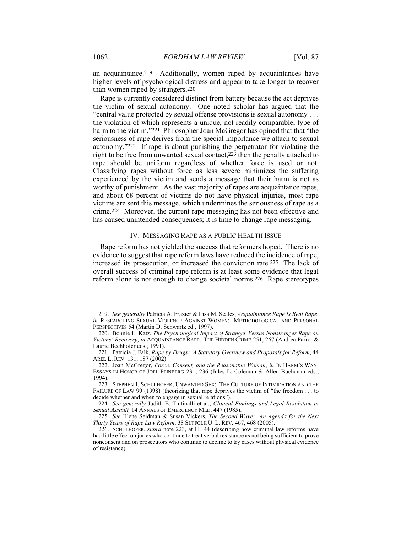an acquaintance.219 Additionally, women raped by acquaintances have higher levels of psychological distress and appear to take longer to recover than women raped by strangers.220

Rape is currently considered distinct from battery because the act deprives the victim of sexual autonomy. One noted scholar has argued that the "central value protected by sexual offense provisions is sexual autonomy . . . the violation of which represents a unique, not readily comparable, type of harm to the victim."<sup>221</sup> Philosopher Joan McGregor has opined that that "the seriousness of rape derives from the special importance we attach to sexual autonomy."222 If rape is about punishing the perpetrator for violating the right to be free from unwanted sexual contact,223 then the penalty attached to rape should be uniform regardless of whether force is used or not. Classifying rapes without force as less severe minimizes the suffering experienced by the victim and sends a message that their harm is not as worthy of punishment. As the vast majority of rapes are acquaintance rapes, and about 68 percent of victims do not have physical injuries, most rape victims are sent this message, which undermines the seriousness of rape as a crime.224 Moreover, the current rape messaging has not been effective and has caused unintended consequences; it is time to change rape messaging.

# IV. MESSAGING RAPE AS A PUBLIC HEALTH ISSUE

Rape reform has not yielded the success that reformers hoped. There is no evidence to suggest that rape reform laws have reduced the incidence of rape, increased its prosecution, or increased the conviction rate.225 The lack of overall success of criminal rape reform is at least some evidence that legal reform alone is not enough to change societal norms.226 Rape stereotypes

 <sup>219.</sup> *See generally* Patricia A. Frazier & Lisa M. Seales, *Acquaintance Rape Is Real Rape*, *in* RESEARCHING SEXUAL VIOLENCE AGAINST WOMEN: METHODOLOGICAL AND PERSONAL PERSPECTIVES 54 (Martin D. Schwartz ed., 1997).

 <sup>220.</sup> Bonnie L. Katz, *The Psychological Impact of Stranger Versus Nonstranger Rape on Victims' Recovery*, *in* ACQUAINTANCE RAPE: THE HIDDEN CRIME 251, 267 (Andrea Parrot & Laurie Bechhofer eds., 1991).

 <sup>221.</sup> Patricia J. Falk, *Rape by Drugs: A Statutory Overview and Proposals for Reform*, 44 ARIZ. L. REV. 131, 187 (2002).

 <sup>222.</sup> Joan McGregor, *Force, Consent, and the Reasonable Woman*, *in* IN HARM'S WAY: ESSAYS IN HONOR OF JOEL FEINBERG 231, 236 (Jules L. Coleman & Allen Buchanan eds., 1994).

 <sup>223.</sup> STEPHEN J. SCHULHOFER, UNWANTED SEX: THE CULTURE OF INTIMIDATION AND THE FAILURE OF LAW 99 (1998) (theorizing that rape deprives the victim of "the freedom . . . to decide whether and when to engage in sexual relations").

 <sup>224.</sup> *See generally* Judith E. Tintinalli et al., *Clinical Findings and Legal Resolution in Sexual Assault,* 14 ANNALS OF EMERGENCY MED. 447 (1985).

<sup>225</sup>*. See* IIlene Seidman & Susan Vickers, *The Second Wave: An Agenda for the Next Thirty Years of Rape Law Reform*, 38 SUFFOLK U. L. REV. 467, 468 (2005).

 <sup>226.</sup> SCHULHOFER, *supra* note 223, at 11, 44 (describing how criminal law reforms have had little effect on juries who continue to treat verbal resistance as not being sufficient to prove nonconsent and on prosecutors who continue to decline to try cases without physical evidence of resistance).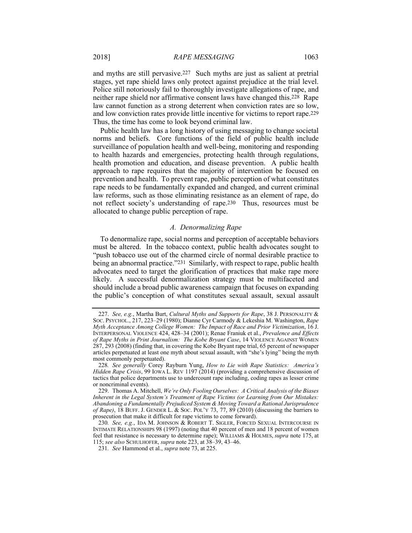and myths are still pervasive.227 Such myths are just as salient at pretrial stages, yet rape shield laws only protect against prejudice at the trial level. Police still notoriously fail to thoroughly investigate allegations of rape, and neither rape shield nor affirmative consent laws have changed this.228 Rape law cannot function as a strong deterrent when conviction rates are so low, and low conviction rates provide little incentive for victims to report rape.229 Thus, the time has come to look beyond criminal law.

Public health law has a long history of using messaging to change societal norms and beliefs. Core functions of the field of public health include surveillance of population health and well-being, monitoring and responding to health hazards and emergencies, protecting health through regulations, health promotion and education, and disease prevention. A public health approach to rape requires that the majority of intervention be focused on prevention and health. To prevent rape, public perception of what constitutes rape needs to be fundamentally expanded and changed, and current criminal law reforms, such as those eliminating resistance as an element of rape, do not reflect society's understanding of rape.230 Thus, resources must be allocated to change public perception of rape.

#### *A. Denormalizing Rape*

To denormalize rape, social norms and perception of acceptable behaviors must be altered. In the tobacco context, public health advocates sought to "push tobacco use out of the charmed circle of normal desirable practice to being an abnormal practice."231 Similarly, with respect to rape, public health advocates need to target the glorification of practices that make rape more likely. A successful denormalization strategy must be multifaceted and should include a broad public awareness campaign that focuses on expanding the public's conception of what constitutes sexual assault, sexual assault

 <sup>227.</sup> *See, e.g.*, Martha Burt, *Cultural Myths and Supports for Rape*, 38 J. PERSONALITY & SOC. PSYCHOL., 217, 223–29 (1980); Dianne Cyr Carmody & Lekeshia M. Washington, *Rape Myth Acceptance Among College Women: The Impact of Race and Prior Victimization*, 16 J. INTERPERSONAL VIOLENCE 424, 428–34 (2001); Renae Franiuk et al., *Prevalence and Effects of Rape Myths in Print Journalism: The Kobe Bryant Case*, 14 VIOLENCE AGAINST WOMEN 287, 293 (2008) (finding that, in covering the Kobe Bryant rape trial, 65 percent of newspaper articles perpetuated at least one myth about sexual assault, with "she's lying" being the myth most commonly perpetuated).

<sup>228</sup>*. See generally* Corey Rayburn Yung, *How to Lie with Rape Statistics: America's Hidden Rape Crisis*, 99 IOWA L. REV 1197 (2014) (providing a comprehensive discussion of tactics that police departments use to undercount rape including, coding rapes as lesser crime or noncriminal events).

 <sup>229.</sup> Thomas A. Mitchell, *We're Only Fooling Ourselves: A Critical Analysis of the Biases Inherent in the Legal System's Treatment of Rape Victims (or Learning from Our Mistakes: Abandoning a Fundamentally Prejudiced System & Moving Toward a Rational Jurisprudence of Rape)*, 18 BUFF. J. GENDER L. & SOC. POL'Y 73, 77, 89 (2010) (discussing the barriers to prosecution that make it difficult for rape victims to come forward).

<sup>230</sup>*. See, e.g.*, IDA M. JOHNSON & ROBERT T. SIGLER, FORCED SEXUAL INTERCOURSE IN INTIMATE RELATIONSHIPS 98 (1997) (noting that 40 percent of men and 18 percent of women feel that resistance is necessary to determine rape); WILLIAMS & HOLMES, *supra* note 175, at 115; *see also* SCHULHOFER, *supra* note 223, at 38–39, 43–46.

<sup>231</sup>*. See* Hammond et al., *supra* note 73, at 225.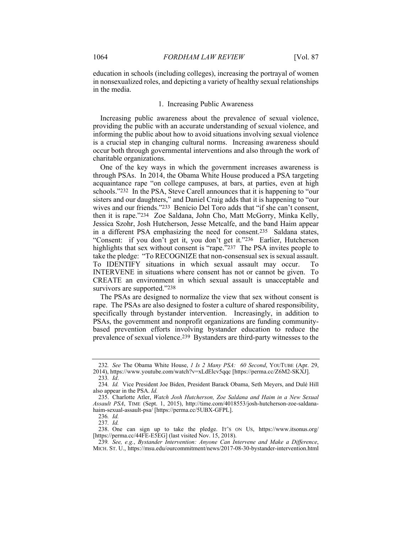education in schools (including colleges), increasing the portrayal of women in nonsexualized roles, and depicting a variety of healthy sexual relationships in the media.

# 1. Increasing Public Awareness

Increasing public awareness about the prevalence of sexual violence, providing the public with an accurate understanding of sexual violence, and informing the public about how to avoid situations involving sexual violence is a crucial step in changing cultural norms. Increasing awareness should occur both through governmental interventions and also through the work of charitable organizations.

One of the key ways in which the government increases awareness is through PSAs. In 2014, the Obama White House produced a PSA targeting acquaintance rape "on college campuses, at bars, at parties, even at high schools."232 In the PSA, Steve Carell announces that it is happening to "our sisters and our daughters," and Daniel Craig adds that it is happening to "our wives and our friends."233 Benicio Del Toro adds that "if she can't consent, then it is rape."234 Zoe Saldana, John Cho, Matt McGorry, Minka Kelly, Jessica Szohr, Josh Hutcherson, Jesse Metcalfe, and the band Haim appear in a different PSA emphasizing the need for consent.235 Saldana states, "Consent: if you don't get it, you don't get it."236 Earlier, Hutcherson highlights that sex without consent is "rape."237 The PSA invites people to take the pledge: "To RECOGNIZE that non-consensual sex is sexual assault. To IDENTIFY situations in which sexual assault may occur. To INTERVENE in situations where consent has not or cannot be given. To CREATE an environment in which sexual assault is unacceptable and survivors are supported."238

The PSAs are designed to normalize the view that sex without consent is rape. The PSAs are also designed to foster a culture of shared responsibility, specifically through bystander intervention. Increasingly, in addition to PSAs, the government and nonprofit organizations are funding communitybased prevention efforts involving bystander education to reduce the prevalence of sexual violence.239 Bystanders are third-party witnesses to the

<sup>232</sup>*. See* The Obama White House, *1 Is 2 Many PSA: 60 Second*, YOUTUBE (Apr. 29, 2014), https://www.youtube.com/watch?v=xLdElcv5qqc [https://perma.cc/Z6M2-SKXJ]. 233*. Id*.

<sup>234</sup>*. Id.* Vice President Joe Biden, President Barack Obama, Seth Meyers, and Dulé Hill also appear in the PSA. *Id.*

 <sup>235.</sup> Charlotte Atler, *Watch Josh Hutcherson, Zoe Saldana and Haim in a New Sexual Assault PSA*, TIME (Sept. 1, 2015), http://time.com/4018553/josh-hutcherson-zoe-saldanahaim-sexual-assault-psa/ [https://perma.cc/5UBX-GFPL].

<sup>236</sup>*. Id.*

<sup>237</sup>*. Id.*

 <sup>238.</sup> One can sign up to take the pledge. IT'S ON US, https://www.itsonus.org/ [https://perma.cc/44FE-E5EG] (last visited Nov. 15, 2018).

<sup>239</sup>*. See, e.g.*, *Bystander Intervention: Anyone Can Intervene and Make a Difference*, MICH. ST. U., https://msu.edu/ourcommitment/news/2017-08-30-bystander-intervention.html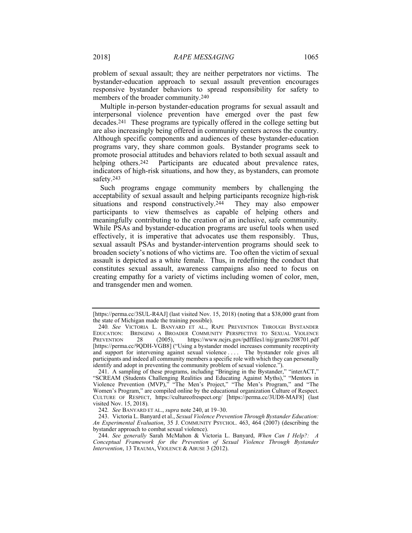problem of sexual assault; they are neither perpetrators nor victims. The bystander-education approach to sexual assault prevention encourages responsive bystander behaviors to spread responsibility for safety to members of the broader community.240

Multiple in-person bystander-education programs for sexual assault and interpersonal violence prevention have emerged over the past few decades.241 These programs are typically offered in the college setting but are also increasingly being offered in community centers across the country. Although specific components and audiences of these bystander-education programs vary, they share common goals. Bystander programs seek to promote prosocial attitudes and behaviors related to both sexual assault and helping others.<sup>242</sup> Participants are educated about prevalence rates, indicators of high-risk situations, and how they, as bystanders, can promote safety.243

Such programs engage community members by challenging the acceptability of sexual assault and helping participants recognize high-risk situations and respond constructively.<sup>244</sup> They may also empower participants to view themselves as capable of helping others and meaningfully contributing to the creation of an inclusive, safe community. While PSAs and bystander-education programs are useful tools when used effectively, it is imperative that advocates use them responsibly. Thus, sexual assault PSAs and bystander-intervention programs should seek to broaden society's notions of who victims are. Too often the victim of sexual assault is depicted as a white female. Thus, in redefining the conduct that constitutes sexual assault, awareness campaigns also need to focus on creating empathy for a variety of victims including women of color, men, and transgender men and women.

<sup>[</sup>https://perma.cc/3SUL-R4AJ] (last visited Nov. 15, 2018) (noting that a \$38,000 grant from the state of Michigan made the training possible).

<sup>240</sup>*. See* VICTORIA L. BANYARD ET AL., RAPE PREVENTION THROUGH BYSTANDER EDUCATION: BRINGING A BROADER COMMUNITY PERSPECTIVE TO SEXUAL VIOLENCE<br>PREVENTION 28 (2005), https://www.ncjrs.gov/pdffiles1/nij/grants/208701.pdf https://www.ncjrs.gov/pdffiles1/nij/grants/208701.pdf [https://perma.cc/9QDH-VGB8] ("Using a bystander model increases community receptivity and support for intervening against sexual violence . . . . The bystander role gives all participants and indeed all community members a specific role with which they can personally identify and adopt in preventing the community problem of sexual violence.").

 <sup>241.</sup> A sampling of these programs, including "Bringing in the Bystander," "interACT," "SCREAM (Students Challenging Realities and Educating Against Myths)," "Mentors in Violence Prevention (MVP)," "The Men's Project," "The Men's Program," and "The Women's Program," are compiled online by the educational organization Culture of Respect. CULTURE OF RESPECT, https://cultureofrespect.org/ [https://perma.cc/3UD8-MAF8] (last visited Nov. 15, 2018).

<sup>242</sup>*. See* BANYARD ET AL., *supra* note 240, at 19–30.

 <sup>243.</sup> Victoria L. Banyard et al., *Sexual Violence Prevention Through Bystander Education: An Experimental Evaluation*, 35 J. COMMUNITY PSYCHOL. 463, 464 (2007) (describing the bystander approach to combat sexual violence).

 <sup>244.</sup> *See generally* Sarah McMahon & Victoria L. Banyard, *When Can I Help?: A Conceptual Framework for the Prevention of Sexual Violence Through Bystander Intervention*, 13 TRAUMA, VIOLENCE & ABUSE 3 (2012).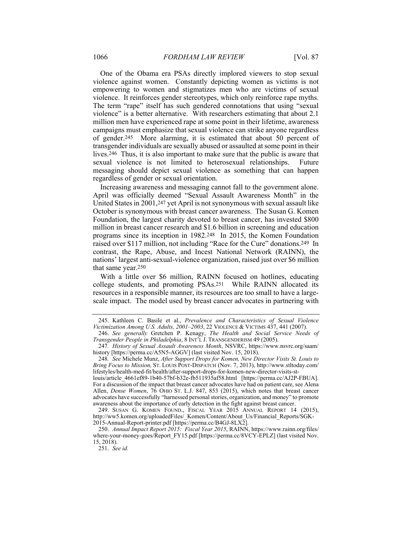One of the Obama era PSAs directly implored viewers to stop sexual violence against women. Constantly depicting women as victims is not empowering to women and stigmatizes men who are victims of sexual violence. It reinforces gender stereotypes, which only reinforce rape myths. The term "rape" itself has such gendered connotations that using "sexual violence" is a better alternative. With researchers estimating that about 2.1 million men have experienced rape at some point in their lifetime, awareness campaigns must emphasize that sexual violence can strike anyone regardless of gender.245 More alarming, it is estimated that about 50 percent of transgender individuals are sexually abused or assaulted at some point in their lives.246 Thus, it is also important to make sure that the public is aware that sexual violence is not limited to heterosexual relationships. Future messaging should depict sexual violence as something that can happen regardless of gender or sexual orientation.

Increasing awareness and messaging cannot fall to the government alone. April was officially deemed "Sexual Assault Awareness Month" in the United States in 2001,247 yet April is not synonymous with sexual assault like October is synonymous with breast cancer awareness. The Susan G. Komen Foundation, the largest charity devoted to breast cancer, has invested \$800 million in breast cancer research and \$1.6 billion in screening and education programs since its inception in 1982.248 In 2015, the Komen Foundation raised over \$117 million, not including "Race for the Cure" donations.249 In contrast, the Rape, Abuse, and Incest National Network (RAINN), the nations' largest anti-sexual-violence organization, raised just over \$6 million that same year.250

With a little over \$6 million, RAINN focused on hotlines, educating college students, and promoting PSAs.251 While RAINN allocated its resources in a responsible manner, its resources are too small to have a largescale impact. The model used by breast cancer advocates in partnering with

louis/article\_4661ef89-1b40-57bf-b32e-fb511935af58.html [https://perma.cc/AJ2P-FBUA]. For a discussion of the impact that breast cancer advocates have had on patient care, see Alena Allen, *Dense Women*, 76 OHIO ST. L.J. 847, 853 (2015), which notes that breast cancer advocates have successfully "harnessed personal stories, organization, and money" to promote awareness about the importance of early detection in the fight against breast cancer.

 249. SUSAN G. KOMEN FOUND., FISCAL YEAR 2015 ANNUAL REPORT 14 (2015), http://ww5.komen.org/uploadedFiles/\_Komen/Content/About\_Us/Financial\_Reports/SGK-2015-Annual-Report-printer.pdf [https://perma.cc/B4GJ-8LX2].

 250. *Annual Impact Report 2015: Fiscal Year 2015*, RAINN, https://www.rainn.org/files/ where-your-money-goes/Report FY15.pdf [https://perma.cc/8VCY-EPLZ] (last visited Nov. 15, 2018).

251. *See id.*

 <sup>245.</sup> Kathleen C. Basile et al., *Prevalence and Characteristics of Sexual Violence Victimization Among U.S. Adults, 2001–2003*, 22 VIOLENCE & VICTIMS 437, 441 (2007).

 <sup>246.</sup> *See generally* Gretchen P. Kenagy, *The Health and Social Service Needs of Transgender People in Philadelphia*, 8 INT'L J. TRANSGENDERISM 49 (2005).

<sup>247</sup>*. History of Sexual Assault Awareness Month*, NSVRC, https://www.nsvrc.org/saam/ history [https://perma.cc/A5N5-AGGV] (last visited Nov. 15, 2018).

<sup>248</sup>*. See* Michele Munz, *After Support Drops for Komen, New Director Visits St. Louis to Bring Focus to Mission,* ST. LOUIS POST-DISPATCH (Nov. 7, 2013), http://www.stltoday.com/ lifestyles/health-med-fit/health/after-support-drops-for-komen-new-director-visits-st-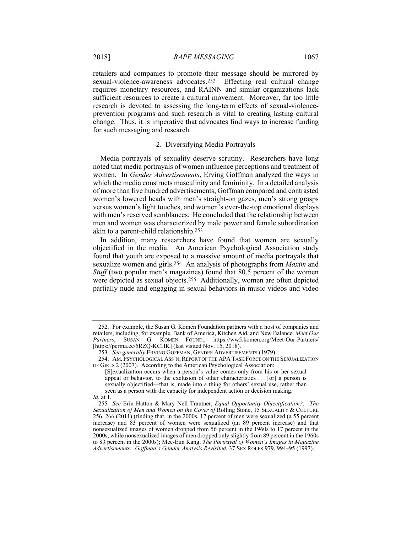retailers and companies to promote their message should be mirrored by sexual-violence-awareness advocates.252 Effecting real cultural change requires monetary resources, and RAINN and similar organizations lack sufficient resources to create a cultural movement. Moreover, far too little research is devoted to assessing the long-term effects of sexual-violenceprevention programs and such research is vital to creating lasting cultural change. Thus, it is imperative that advocates find ways to increase funding for such messaging and research.

# 2. Diversifying Media Portrayals

Media portrayals of sexuality deserve scrutiny. Researchers have long noted that media portrayals of women influence perceptions and treatment of women. In *Gender Advertisements*, Erving Goffman analyzed the ways in which the media constructs masculinity and femininity. In a detailed analysis of more than five hundred advertisements, Goffman compared and contrasted women's lowered heads with men's straight-on gazes, men's strong grasps versus women's light touches, and women's over-the-top emotional displays with men's reserved semblances. He concluded that the relationship between men and women was characterized by male power and female subordination akin to a parent-child relationship.253

In addition, many researchers have found that women are sexually objectified in the media. An American Psychological Association study found that youth are exposed to a massive amount of media portrayals that sexualize women and girls.254 An analysis of photographs from *Maxim* and *Stuff* (two popular men's magazines) found that 80.5 percent of the women were depicted as sexual objects.255 Additionally, women are often depicted partially nude and engaging in sexual behaviors in music videos and video

 <sup>252.</sup> For example, the Susan G. Komen Foundation partners with a host of companies and retailers, including, for example, Bank of America, Kitchen Aid, and New Balance. *Meet Our Partners*, SUSAN G. KOMEN FOUND., https://ww5.komen.org/Meet-Our-Partners/ [https://perma.cc/5RZQ-KCHK] (last visited Nov. 15, 2018).

<sup>253</sup>*. See generally* ERVING GOFFMAN, GENDER ADVERTISEMENTS (1979).

<sup>254.</sup> AM. PSYCHOLOGICAL ASS'N, REPORT OF THE APA TASK FORCE ON THE SEXUALIZATION OF GIRLS 2 (2007). According to the American Psychological Association:

<sup>[</sup>S]exualization occurs when a person's value comes only from his or her sexual appeal or behavior, to the exclusion of other characteristics . . . [or] a person is sexually objectified—that is, made into a thing for others' sexual use, rather than seen as a person with the capacity for independent action or decision making.

*Id.* at 1.

<sup>255</sup>*. See* Erin Hatton & Mary Nell Trautner, *Equal Opportunity Objectification?: The Sexualization of Men and Women on the Cover of* Rolling Stone, 15 SEXUALITY & CULTURE 256, 266 (2011) (finding that, in the 2000s, 17 percent of men were sexualized (a 55 percent increase) and 83 percent of women were sexualized (an 89 percent increase) and that nonsexualized images of women dropped from 56 percent in the 1960s to 17 percent in the 2000s, while nonsexualized images of men dropped only slightly from 89 percent in the 1960s to 83 percent in the 2000s); Mee-Eun Kang, *The Portrayal of Women's Images in Magazine Advertisements: Goffman's Gender Analysis Revisited*, 37 SEX ROLES 979, 994–95 (1997).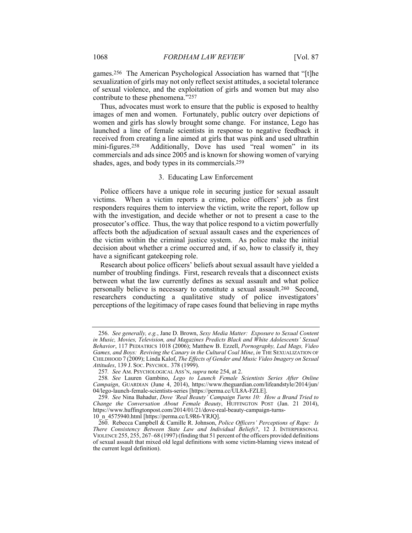games.256 The American Psychological Association has warned that "[t]he sexualization of girls may not only reflect sexist attitudes, a societal tolerance of sexual violence, and the exploitation of girls and women but may also contribute to these phenomena."257

Thus, advocates must work to ensure that the public is exposed to healthy images of men and women. Fortunately, public outcry over depictions of women and girls has slowly brought some change. For instance, Lego has launched a line of female scientists in response to negative feedback it received from creating a line aimed at girls that was pink and used ultrathin mini-figures.258 Additionally, Dove has used "real women" in its commercials and ads since 2005 and is known for showing women of varying shades, ages, and body types in its commercials.259

## 3. Educating Law Enforcement

Police officers have a unique role in securing justice for sexual assault victims. When a victim reports a crime, police officers' job as first responders requires them to interview the victim, write the report, follow up with the investigation, and decide whether or not to present a case to the prosecutor's office. Thus, the way that police respond to a victim powerfully affects both the adjudication of sexual assault cases and the experiences of the victim within the criminal justice system. As police make the initial decision about whether a crime occurred and, if so, how to classify it, they have a significant gatekeeping role.

Research about police officers' beliefs about sexual assault have yielded a number of troubling findings. First, research reveals that a disconnect exists between what the law currently defines as sexual assault and what police personally believe is necessary to constitute a sexual assault.260 Second, researchers conducting a qualitative study of police investigators' perceptions of the legitimacy of rape cases found that believing in rape myths

 <sup>256.</sup> *See generally, e.g.*, Jane D. Brown, *Sexy Media Matter: Exposure to Sexual Content in Music, Movies, Television, and Magazines Predicts Black and White Adolescents' Sexual Behavior*, 117 PEDIATRICS 1018 (2006); Matthew B. Ezzell, *Pornography, Lad Mags, Video Games, and Boys: Reviving the Canary in the Cultural Coal Mine*, *in* THE SEXUALIZATION OF CHILDHOOD 7 (2009); Linda Kalof, *The Effects of Gender and Music Video Imagery on Sexual Attitudes*, 139 J. SOC. PSYCHOL. 378 (1999).

<sup>257</sup>*. See* AM. PSYCHOLOGICAL ASS'N, *supra* note 254, at 2.

<sup>258</sup>*. See* Lauren Gambino, *Lego to Launch Female Scientists Series After Online Campaign*, GUARDIAN (June 4, 2014), https://www.theguardian.com/lifeandstyle/2014/jun/ 04/lego-launch-female-scientists-series [https://perma.cc/UL8A-FZLE].

 <sup>259.</sup> *See* Nina Bahadur, *Dove 'Real Beauty' Campaign Turns 10: How a Brand Tried to Change the Conversation About Female Beauty*, HUFFINGTON POST (Jan. 21 2014), https://www.huffingtonpost.com/2014/01/21/dove-real-beauty-campaign-turns-10\_n\_4575940.html [https://perma.cc/L9R6-YRJQ].

 <sup>260.</sup> Rebecca Campbell & Camille R. Johnson, *Police Officers' Perceptions of Rape: Is There Consistency Between State Law and Individual Beliefs?*, 12 J. INTERPERSONAL VIOLENCE 255, 255, 267–68 (1997) (finding that 51 percent of the officers provided definitions of sexual assault that mixed old legal definitions with some victim-blaming views instead of the current legal definition).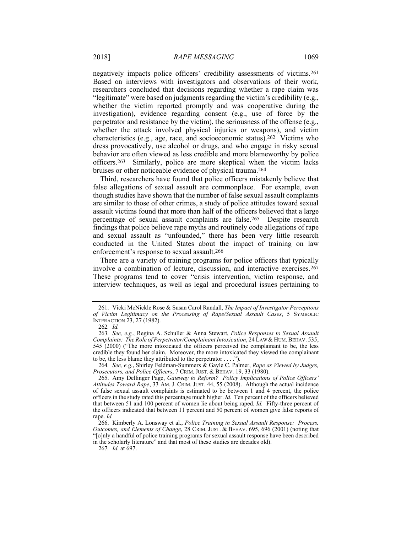negatively impacts police officers' credibility assessments of victims.261 Based on interviews with investigators and observations of their work, researchers concluded that decisions regarding whether a rape claim was "legitimate" were based on judgments regarding the victim's credibility (e.g., whether the victim reported promptly and was cooperative during the investigation), evidence regarding consent (e.g., use of force by the perpetrator and resistance by the victim), the seriousness of the offense (e.g., whether the attack involved physical injuries or weapons), and victim characteristics (e.g., age, race, and socioeconomic status).262 Victims who dress provocatively, use alcohol or drugs, and who engage in risky sexual behavior are often viewed as less credible and more blameworthy by police officers.263 Similarly, police are more skeptical when the victim lacks bruises or other noticeable evidence of physical trauma.264

Third, researchers have found that police officers mistakenly believe that false allegations of sexual assault are commonplace. For example, even though studies have shown that the number of false sexual assault complaints are similar to those of other crimes, a study of police attitudes toward sexual assault victims found that more than half of the officers believed that a large percentage of sexual assault complaints are false.265 Despite research findings that police believe rape myths and routinely code allegations of rape and sexual assault as "unfounded," there has been very little research conducted in the United States about the impact of training on law enforcement's response to sexual assault.266

There are a variety of training programs for police officers that typically involve a combination of lecture, discussion, and interactive exercises.267 These programs tend to cover "crisis intervention, victim response, and interview techniques, as well as legal and procedural issues pertaining to

267*. Id.* at 697.

 <sup>261.</sup> Vicki McNickle Rose & Susan Carol Randall, *The Impact of Investigator Perceptions of Victim Legitimacy on the Processing of Rape/Sexual Assault Cases*, 5 SYMBOLIC INTERACTION 23, 27 (1982).

<sup>262</sup>*. Id.*

<sup>263</sup>*. See, e.g.*, Regina A. Schuller & Anna Stewart, *Police Responses to Sexual Assault Complaints: The Role of Perpetrator/Complainant Intoxication*, 24 LAW & HUM. BEHAV. 535, 545 (2000) ("The more intoxicated the officers perceived the complainant to be, the less credible they found her claim. Moreover, the more intoxicated they viewed the complainant to be, the less blame they attributed to the perpetrator . . . .").

<sup>264</sup>*. See, e.g.*, Shirley Feldman-Summers & Gayle C. Palmer, *Rape as Viewed by Judges, Prosecutors, and Police Officers*, 7 CRIM. JUST. & BEHAV. 19, 33 (1980).

 <sup>265.</sup> Amy Dellinger Page, *Gateway to Reform? Policy Implications of Police Officers' Attitudes Toward Rape*, 33 AM. J. CRIM. JUST. 44, 55 (2008). Although the actual incidence of false sexual assault complaints is estimated to be between 1 and 4 percent, the police officers in the study rated this percentage much higher. *Id.* Ten percent of the officers believed that between 51 and 100 percent of women lie about being raped. *Id.* Fifty-three percent of the officers indicated that between 11 percent and 50 percent of women give false reports of rape. *Id.* 

 <sup>266.</sup> Kimberly A. Lonsway et al., *Police Training in Sexual Assault Response: Process, Outcomes, and Elements of Change*, 28 CRIM. JUST. & BEHAV. 695, 696 (2001) (noting that "[o]nly a handful of police training programs for sexual assault response have been described in the scholarly literature" and that most of these studies are decades old).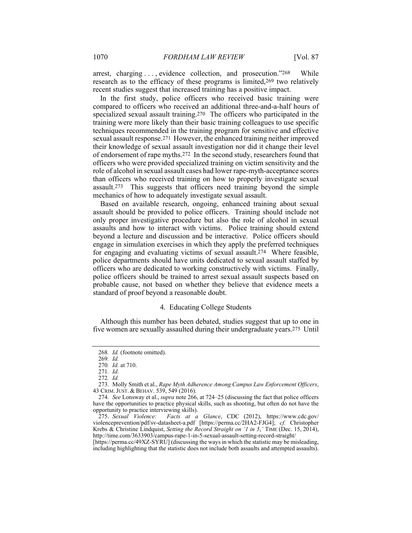arrest, charging . . . , evidence collection, and prosecution."268 While research as to the efficacy of these programs is limited,269 two relatively recent studies suggest that increased training has a positive impact.

In the first study, police officers who received basic training were compared to officers who received an additional three-and-a-half hours of specialized sexual assault training.270 The officers who participated in the training were more likely than their basic training colleagues to use specific techniques recommended in the training program for sensitive and effective sexual assault response.271 However, the enhanced training neither improved their knowledge of sexual assault investigation nor did it change their level of endorsement of rape myths.272 In the second study, researchers found that officers who were provided specialized training on victim sensitivity and the role of alcohol in sexual assault cases had lower rape-myth-acceptance scores than officers who received training on how to properly investigate sexual assault.273 This suggests that officers need training beyond the simple mechanics of how to adequately investigate sexual assault.

Based on available research, ongoing, enhanced training about sexual assault should be provided to police officers. Training should include not only proper investigative procedure but also the role of alcohol in sexual assaults and how to interact with victims. Police training should extend beyond a lecture and discussion and be interactive. Police officers should engage in simulation exercises in which they apply the preferred techniques for engaging and evaluating victims of sexual assault.274 Where feasible, police departments should have units dedicated to sexual assault staffed by officers who are dedicated to working constructively with victims. Finally, police officers should be trained to arrest sexual assault suspects based on probable cause, not based on whether they believe that evidence meets a standard of proof beyond a reasonable doubt.

# 4. Educating College Students

Although this number has been debated, studies suggest that up to one in five women are sexually assaulted during their undergraduate years.275 Until

Facts at a Glance, CDC (2012), https://www.cdc.gov/ violenceprevention/pdf/sv-datasheet-a.pdf [https://perma.cc/2HA2-FJG4]; *cf.* Christopher Krebs & Christine Lindquist, *Setting the Record Straight on '1 in 5*,*'* TIME (Dec. 15, 2014), http://time.com/3633903/campus-rape-1-in-5-sexual-assault-setting-record-straight/

[https://perma.cc/49XZ-SYRU] (discussing the ways in which the statistic may be misleading, including highlighting that the statistic does not include both assaults and attempted assaults).

<sup>268</sup>*. Id.* (footnote omitted).

<sup>269</sup>*. Id.*

<sup>270</sup>*. Id.* at 710.

<sup>271</sup>*. Id*.

<sup>272</sup>*. Id.*

 <sup>273.</sup> Molly Smith et al., *Rape Myth Adherence Among Campus Law Enforcement Officers*, 43 CRIM. JUST. & BEHAV. 539, 549 (2016).

<sup>274</sup>*. See* Lonsway et al., *supra* note 266, at 724–25 (discussing the fact that police officers have the opportunities to practice physical skills, such as shooting, but often do not have the opportunity to practice interviewing skills).<br>275. Sexual Violence: Facts at a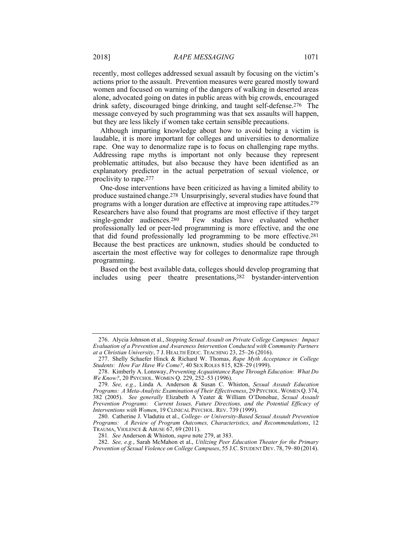recently, most colleges addressed sexual assault by focusing on the victim's actions prior to the assault. Prevention measures were geared mostly toward women and focused on warning of the dangers of walking in deserted areas alone, advocated going on dates in public areas with big crowds, encouraged drink safety, discouraged binge drinking, and taught self-defense.276 The message conveyed by such programming was that sex assaults will happen, but they are less likely if women take certain sensible precautions.

Although imparting knowledge about how to avoid being a victim is laudable, it is more important for colleges and universities to denormalize rape. One way to denormalize rape is to focus on challenging rape myths. Addressing rape myths is important not only because they represent problematic attitudes, but also because they have been identified as an explanatory predictor in the actual perpetration of sexual violence, or proclivity to rape.277

One-dose interventions have been criticized as having a limited ability to produce sustained change.278 Unsurprisingly, several studies have found that programs with a longer duration are effective at improving rape attitudes.279 Researchers have also found that programs are most effective if they target single-gender audiences.280 Few studies have evaluated whether professionally led or peer-led programming is more effective, and the one that did found professionally led programming to be more effective.281 Because the best practices are unknown, studies should be conducted to ascertain the most effective way for colleges to denormalize rape through programming.

Based on the best available data, colleges should develop programing that includes using peer theatre presentations,282 bystander-intervention

281*. See* Anderson & Whiston, *supra* note 279, at 383.

 <sup>276.</sup> Alycia Johnson et al., *Stopping Sexual Assault on Private College Campuses: Impact Evaluation of a Prevention and Awareness Intervention Conducted with Community Partners at a Christian University*, 7 J. HEALTH EDUC. TEACHING 23, 25–26 (2016).

 <sup>277.</sup> Shelly Schaefer Hinck & Richard W. Thomas, *Rape Myth Acceptance in College Students: How Far Have We Come?*, 40 SEX ROLES 815, 828–29 (1999).

 <sup>278.</sup> Kimberly A. Lonsway, *Preventing Acquaintance Rape Through Education: What Do We Know?*, 20 PSYCHOL. WOMEN Q. 229, 252–53 (1996).

 <sup>279.</sup> *See, e.g.*, Linda A. Anderson & Susan C. Whiston, *Sexual Assault Education Programs: A Meta-Analytic Examination of Their Effectiveness*, 29 PSYCHOL.WOMEN Q. 374, 382 (2005). *See generally* Elizabeth A Yeater & William O'Donohue, *Sexual Assault Prevention Programs: Current Issues, Future Directions, and the Potential Efficacy of Interventions with Women*, 19 CLINICAL PSYCHOL. REV. 739 (1999).

 <sup>280.</sup> Catherine J. Vladutiu et al., *College- or University-Based Sexual Assault Prevention Programs: A Review of Program Outcomes, Characteristics, and Recommendations*, 12 TRAUMA, VIOLENCE & ABUSE 67, 69 (2011).

 <sup>282.</sup> *See, e.g.*, Sarah McMahon et al., *Utilizing Peer Education Theater for the Primary Prevention of Sexual Violence on College Campuses*, 55 J.C. STUDENT DEV. 78, 79–80 (2014).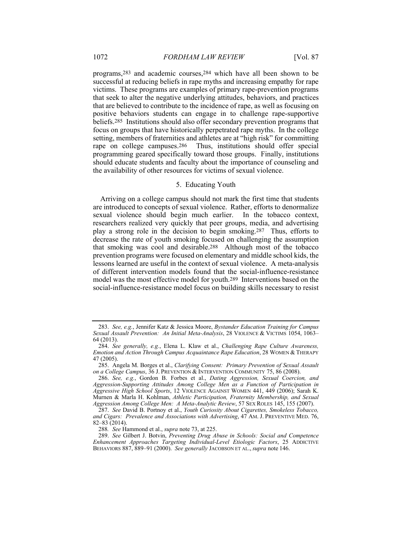programs,283 and academic courses,284 which have all been shown to be successful at reducing beliefs in rape myths and increasing empathy for rape victims. These programs are examples of primary rape-prevention programs that seek to alter the negative underlying attitudes, behaviors, and practices that are believed to contribute to the incidence of rape, as well as focusing on positive behaviors students can engage in to challenge rape-supportive beliefs.285 Institutions should also offer secondary prevention programs that focus on groups that have historically perpetrated rape myths. In the college setting, members of fraternities and athletes are at "high risk" for committing rape on college campuses.286 Thus, institutions should offer special programming geared specifically toward those groups. Finally, institutions should educate students and faculty about the importance of counseling and the availability of other resources for victims of sexual violence.

# 5. Educating Youth

Arriving on a college campus should not mark the first time that students are introduced to concepts of sexual violence. Rather, efforts to denormalize sexual violence should begin much earlier. In the tobacco context, researchers realized very quickly that peer groups, media, and advertising play a strong role in the decision to begin smoking.287 Thus, efforts to decrease the rate of youth smoking focused on challenging the assumption that smoking was cool and desirable.288 Although most of the tobacco prevention programs were focused on elementary and middle school kids, the lessons learned are useful in the context of sexual violence. A meta-analysis of different intervention models found that the social-influence-resistance model was the most effective model for youth.289 Interventions based on the social-influence-resistance model focus on building skills necessary to resist

 <sup>283.</sup> *See, e.g.*, Jennifer Katz & Jessica Moore, *Bystander Education Training for Campus Sexual Assault Prevention: An Initial Meta-Analysis*, 28 VIOLENCE & VICTIMS 1054, 1063– 64 (2013).

 <sup>284.</sup> *See generally, e.g.*, Elena L. Klaw et al., *Challenging Rape Culture Awareness, Emotion and Action Through Campus Acquaintance Rape Education*, 28 WOMEN & THERAPY 47 (2005).

 <sup>285.</sup> Angela M. Borges et al., *Clarifying Consent: Primary Prevention of Sexual Assault on a College Campus*, 36 J. PREVENTION & INTERVENTION COMMUNITY 75, 86 (2008).

 <sup>286.</sup> *See, e.g.*, Gordon B. Forbes et al., *Dating Aggression, Sexual Coercion, and Aggression-Supporting Attitudes Among College Men as a Function of Participation in Aggressive High School Sports*, 12 VIOLENCE AGAINST WOMEN 441, 449 (2006); Sarah K. Murnen & Marla H. Kohlman, *Athletic Participation, Fraternity Membership, and Sexual Aggression Among College Men: A Meta-Analytic Review*, 57 SEX ROLES 145, 155 (2007).

 <sup>287.</sup> *See* David B. Portnoy et al., *Youth Curiosity About Cigarettes, Smokeless Tobacco, and Cigars: Prevalence and Associations with Advertising*, 47 AM. J. PREVENTIVE MED. 76, 82–83 (2014).

<sup>288</sup>*. See* Hammond et al., *supra* note 73, at 225.

 <sup>289.</sup> *See* Gilbert J. Botvin, *Preventing Drug Abuse in Schools: Social and Competence Enhancement Approaches Targeting Individual-Level Etiologic Factors*, 25 ADDICTIVE BEHAVIORS 887, 889–91 (2000). *See generally* JACOBSON ET AL., *supra* note 146.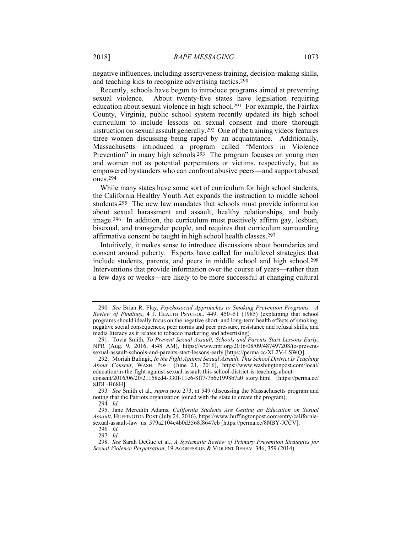negative influences, including assertiveness training, decision-making skills, and teaching kids to recognize advertising tactics.290

Recently, schools have begun to introduce programs aimed at preventing sexual violence. About twenty-five states have legislation requiring education about sexual violence in high school.291 For example, the Fairfax County, Virginia, public school system recently updated its high school curriculum to include lessons on sexual consent and more thorough instruction on sexual assault generally.292 One of the training videos features three women discussing being raped by an acquaintance. Additionally, Massachusetts introduced a program called "Mentors in Violence Prevention" in many high schools.293 The program focuses on young men and women not as potential perpetrators or victims, respectively, but as empowered bystanders who can confront abusive peers—and support abused ones.294

While many states have some sort of curriculum for high school students, the California Healthy Youth Act expands the instruction to middle school students.295 The new law mandates that schools must provide information about sexual harassment and assault, healthy relationships, and body image.296 In addition, the curriculum must positively affirm gay, lesbian, bisexual, and transgender people, and requires that curriculum surrounding affirmative consent be taught in high school health classes.297

Intuitively, it makes sense to introduce discussions about boundaries and consent around puberty. Experts have called for multilevel strategies that include students, parents, and peers in middle school and high school.298 Interventions that provide information over the course of years—rather than a few days or weeks—are likely to be more successful at changing cultural

<sup>290</sup>*. See* Brian R. Flay, *Psychosocial Approaches to Smoking Prevention Programs: A Review of Findings*, 4 J. HEALTH PSYCHOL. 449, 450–51 (1985) (explaining that school programs should ideally focus on the negative short- and long-term health effects of smoking, negative social consequences, peer norms and peer pressure, resistance and refusal skills, and media literacy as it relates to tobacco marketing and advertising).

 <sup>291.</sup> Tovia Smith, *To Prevent Sexual Assault, Schools and Parents Start Lessons Early*, NPR (Aug. 9, 2016, 4:48 AM), https://www.npr.org/2016/08/09/487497208/to-preventsexual-assault-schools-and-parents-start-lessons-early [https://perma.cc/XL2V-LSWQ].

 <sup>292.</sup> Moriah Balingit, *In the Fight Against Sexual Assault, This School District Is Teaching About Consent*, WASH. POST (June 21, 2016), https://www.washingtonpost.com/local/ education/in-the-fight-against-sexual-assault-this-school-district-is-teaching-about-

consent/2016/06/20/21158ed4-330f-11e6-8ff7-7b6c1998b7a0\_story.html [https://perma.cc/ 8JDL-H68H].

<sup>293</sup>*. See* Smith et al., *supra* note 273, at 549 (discussing the Massachusetts program and noting that the Patriots organization joined with the state to create the program).

<sup>294</sup>*. Id.*

 <sup>295.</sup> Jane Meredith Adams, *California Students Are Getting an Education on Sexual Assault*, HUFFINGTON POST (July 24, 2016), https://www.huffingtonpost.com/entry/californiasexual-assault-law\_us\_579a2104e4b0d3568f8647eb [https://perma.cc/8NBY-JCCV].

<sup>296</sup>*. Id.*

<sup>297</sup>*. Id.*

 <sup>298.</sup> *See* Sarah DeGue et al., *A Systematic Review of Primary Prevention Strategies for Sexual Violence Perpetration*, 19 AGGRESSION & VIOLENT BEHAV. 346, 359 (2014).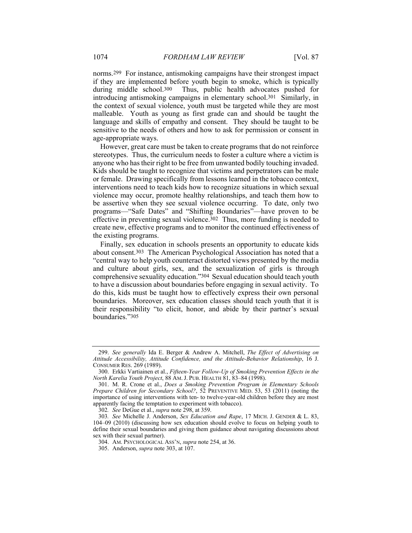norms.299 For instance, antismoking campaigns have their strongest impact if they are implemented before youth begin to smoke, which is typically during middle school.<sup>300</sup> Thus, public health advocates pushed for Thus, public health advocates pushed for introducing antismoking campaigns in elementary school.301 Similarly, in the context of sexual violence, youth must be targeted while they are most malleable. Youth as young as first grade can and should be taught the language and skills of empathy and consent. They should be taught to be sensitive to the needs of others and how to ask for permission or consent in age-appropriate ways.

However, great care must be taken to create programs that do not reinforce stereotypes. Thus, the curriculum needs to foster a culture where a victim is anyone who has their right to be free from unwanted bodily touching invaded. Kids should be taught to recognize that victims and perpetrators can be male or female. Drawing specifically from lessons learned in the tobacco context, interventions need to teach kids how to recognize situations in which sexual violence may occur, promote healthy relationships, and teach them how to be assertive when they see sexual violence occurring. To date, only two programs—"Safe Dates" and "Shifting Boundaries"—have proven to be effective in preventing sexual violence.<sup>302</sup> Thus, more funding is needed to create new, effective programs and to monitor the continued effectiveness of the existing programs.

Finally, sex education in schools presents an opportunity to educate kids about consent.303 The American Psychological Association has noted that a "central way to help youth counteract distorted views presented by the media and culture about girls, sex, and the sexualization of girls is through comprehensive sexuality education."304 Sexual education should teach youth to have a discussion about boundaries before engaging in sexual activity. To do this, kids must be taught how to effectively express their own personal boundaries. Moreover, sex education classes should teach youth that it is their responsibility "to elicit, honor, and abide by their partner's sexual boundaries."305

302*. See* DeGue et al., *supra* note 298, at 359.

 <sup>299.</sup> *See generally* Ida E. Berger & Andrew A. Mitchell, *The Effect of Advertising on Attitude Accessibility, Attitude Confidence, and the Attitude-Behavior Relationship*, 16 J. CONSUMER RES. 269 (1989).

 <sup>300.</sup> Erkki Vartiainen et al., *Fifteen-Year Follow-Up of Smoking Prevention Effects in the North Karelia Youth Project*, 88 AM. J. PUB. HEALTH 81, 83–84 (1998).

 <sup>301.</sup> M. R. Crone et al., *Does a Smoking Prevention Program in Elementary Schools Prepare Children for Secondary School?*, 52 PREVENTIVE MED. 53, 53 (2011) (noting the importance of using interventions with ten- to twelve-year-old children before they are most apparently facing the temptation to experiment with tobacco).

<sup>303</sup>*. See* Michelle J. Anderson, *Sex Education and Rape*, 17 MICH. J. GENDER & L. 83, 104–09 (2010) (discussing how sex education should evolve to focus on helping youth to define their sexual boundaries and giving them guidance about navigating discussions about sex with their sexual partner).

 <sup>304.</sup> AM. PSYCHOLOGICAL ASS'N, *supra* note 254, at 36.

 <sup>305.</sup> Anderson, *supra* note 303, at 107.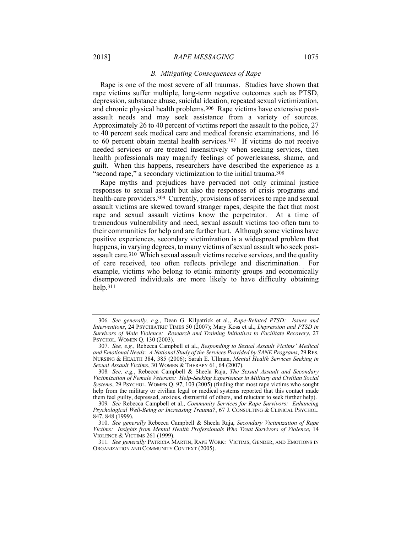#### 2018] *RAPE MESSAGING* 1075

#### *B. Mitigating Consequences of Rape*

Rape is one of the most severe of all traumas. Studies have shown that rape victims suffer multiple, long-term negative outcomes such as PTSD, depression, substance abuse, suicidal ideation, repeated sexual victimization, and chronic physical health problems.306 Rape victims have extensive postassault needs and may seek assistance from a variety of sources. Approximately 26 to 40 percent of victims report the assault to the police, 27 to 40 percent seek medical care and medical forensic examinations, and 16 to 60 percent obtain mental health services.307 If victims do not receive needed services or are treated insensitively when seeking services, then health professionals may magnify feelings of powerlessness, shame, and guilt. When this happens, researchers have described the experience as a "second rape," a secondary victimization to the initial trauma.<sup>308</sup>

Rape myths and prejudices have pervaded not only criminal justice responses to sexual assault but also the responses of crisis programs and health-care providers.309 Currently, provisions of services to rape and sexual assault victims are skewed toward stranger rapes, despite the fact that most rape and sexual assault victims know the perpetrator. At a time of tremendous vulnerability and need, sexual assault victims too often turn to their communities for help and are further hurt. Although some victims have positive experiences, secondary victimization is a widespread problem that happens, in varying degrees, to many victims of sexual assault who seek postassault care.310 Which sexual assault victims receive services, and the quality of care received, too often reflects privilege and discrimination. For example, victims who belong to ethnic minority groups and economically disempowered individuals are more likely to have difficulty obtaining help.311

<sup>306</sup>*. See generally, e.g.*, Dean G. Kilpatrick et al., *Rape-Related PTSD: Issues and Interventions*, 24 PSYCHIATRIC TIMES 50 (2007); Mary Koss et al., *Depression and PTSD in Survivors of Male Violence: Research and Training Initiatives to Facilitate Recovery*, 27 PSYCHOL. WOMEN Q. 130 (2003).

 <sup>307.</sup> *See, e.g.*, Rebecca Campbell et al., *Responding to Sexual Assault Victims' Medical and Emotional Needs: A National Study of the Services Provided by SANE Programs*, 29 RES. NURSING & HEALTH 384, 385 (2006); Sarah E. Ullman, *Mental Health Services Seeking in Sexual Assault Victims*, 30 WOMEN & THERAPY 61, 64 (2007).

<sup>308</sup>*. See, e.g.*, Rebecca Campbell & Sheela Raja, *The Sexual Assault and Secondary Victimization of Female Veterans: Help-Seeking Experiences in Military and Civilian Social Systems*, 29 PSYCHOL. WOMEN Q. 97, 103 (2005) (finding that most rape victims who sought help from the military or civilian legal or medical systems reported that this contact made them feel guilty, depressed, anxious, distrustful of others, and reluctant to seek further help).

<sup>309</sup>*. See* Rebecca Campbell et al., *Community Services for Rape Survivors: Enhancing Psychological Well-Being or Increasing Trauma?*, 67 J. CONSULTING & CLINICAL PSYCHOL. 847, 848 (1999).

 <sup>310.</sup> *See generally* Rebecca Campbell & Sheela Raja, *Secondary Victimization of Rape Victims: Insights from Mental Health Professionals Who Treat Survivors of Violence*, 14 VIOLENCE & VICTIMS 261 (1999).

<sup>311</sup>*. See generally* PATRICIA MARTIN, RAPE WORK: VICTIMS, GENDER, AND EMOTIONS IN ORGANIZATION AND COMMUNITY CONTEXT (2005).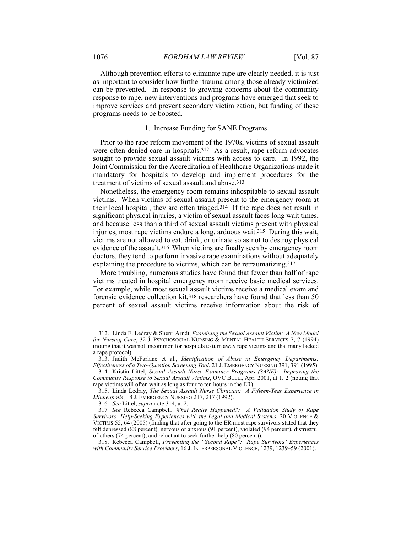Although prevention efforts to eliminate rape are clearly needed, it is just as important to consider how further trauma among those already victimized can be prevented. In response to growing concerns about the community response to rape, new interventions and programs have emerged that seek to improve services and prevent secondary victimization, but funding of these programs needs to be boosted.

### 1. Increase Funding for SANE Programs

Prior to the rape reform movement of the 1970s, victims of sexual assault were often denied care in hospitals.<sup>312</sup> As a result, rape reform advocates sought to provide sexual assault victims with access to care. In 1992, the Joint Commission for the Accreditation of Healthcare Organizations made it mandatory for hospitals to develop and implement procedures for the treatment of victims of sexual assault and abuse.313

Nonetheless, the emergency room remains inhospitable to sexual assault victims. When victims of sexual assault present to the emergency room at their local hospital, they are often triaged.314 If the rape does not result in significant physical injuries, a victim of sexual assault faces long wait times, and because less than a third of sexual assault victims present with physical injuries, most rape victims endure a long, arduous wait.315 During this wait, victims are not allowed to eat, drink, or urinate so as not to destroy physical evidence of the assault.316 When victims are finally seen by emergency room doctors, they tend to perform invasive rape examinations without adequately explaining the procedure to victims, which can be retraumatizing.317

More troubling, numerous studies have found that fewer than half of rape victims treated in hospital emergency room receive basic medical services. For example, while most sexual assault victims receive a medical exam and forensic evidence collection kit,318 researchers have found that less than 50 percent of sexual assault victims receive information about the risk of

 <sup>312.</sup> Linda E. Ledray & Sherri Arndt, *Examining the Sexual Assault Victim: A New Model for Nursing Care*, 32 J. PSYCHOSOCIAL NURSING & MENTAL HEALTH SERVICES 7, 7 (1994) (noting that it was not uncommon for hospitals to turn away rape victims and that many lacked a rape protocol).

 <sup>313.</sup> Judith McFarlane et al., *Identification of Abuse in Emergency Departments: Effectiveness of a Two-Question Screening Tool*, 21 J. EMERGENCY NURSING 391, 391 (1995).

 <sup>314.</sup> Kristin Littel, *Sexual Assault Nurse Examiner Programs (SANE): Improving the Community Response to Sexual Assault Victims*, OVC BULL., Apr. 2001, at 1, 2 (noting that rape victims will often wait as long as four to ten hours in the ER).

 <sup>315.</sup> Linda Ledray, *The Sexual Assault Nurse Clinician: A Fifteen-Year Experience in Minneapolis*, 18 J. EMERGENCY NURSING 217, 217 (1992).

<sup>316</sup>*. See* Littel, *supra* note 314, at 2.

<sup>317</sup>*. See* Rebecca Campbell, *What Really Happened?: A Validation Study of Rape Survivors' Help-Seeking Experiences with the Legal and Medical Systems*, 20 VIOLENCE & VICTIMS 55, 64 (2005) (finding that after going to the ER most rape survivors stated that they felt depressed (88 percent), nervous or anxious (91 percent), violated (94 percent), distrustful of others (74 percent), and reluctant to seek further help (80 percent)).

 <sup>318.</sup> Rebecca Campbell, *Preventing the "Second Rape": Rape Survivors' Experiences with Community Service Providers*, 16 J. INTERPERSONAL VIOLENCE, 1239, 1239–59 (2001).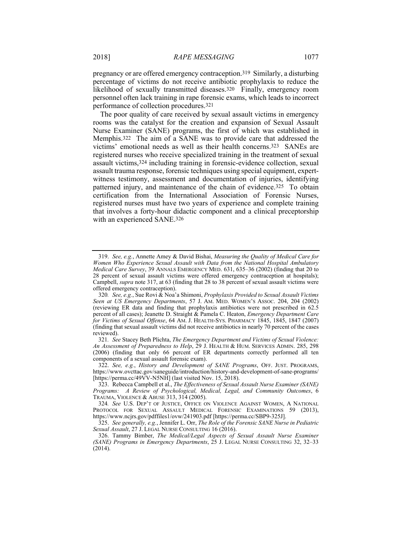pregnancy or are offered emergency contraception.319 Similarly, a disturbing percentage of victims do not receive antibiotic prophylaxis to reduce the likelihood of sexually transmitted diseases.320 Finally, emergency room personnel often lack training in rape forensic exams, which leads to incorrect performance of collection procedures.321

The poor quality of care received by sexual assault victims in emergency rooms was the catalyst for the creation and expansion of Sexual Assault Nurse Examiner (SANE) programs, the first of which was established in Memphis.322 The aim of a SANE was to provide care that addressed the victims' emotional needs as well as their health concerns.323 SANEs are registered nurses who receive specialized training in the treatment of sexual assault victims,324 including training in forensic-evidence collection, sexual assault trauma response, forensic techniques using special equipment, expertwitness testimony, assessment and documentation of injuries, identifying patterned injury, and maintenance of the chain of evidence.325 To obtain certification from the International Association of Forensic Nurses, registered nurses must have two years of experience and complete training that involves a forty-hour didactic component and a clinical preceptorship with an experienced SANE.326

 <sup>319.</sup> *See, e.g.*, Annette Amey & David Bishai, *Measuring the Quality of Medical Care for Women Who Experience Sexual Assault with Data from the National Hospital Ambulatory Medical Care Survey*, 39 ANNALS EMERGENCY MED. 631, 635–36 (2002) (finding that 20 to 28 percent of sexual assault victims were offered emergency contraception at hospitals); Campbell, *supra* note 317, at 63 (finding that 28 to 38 percent of sexual assault victims were offered emergency contraception).

<sup>320</sup>*. See, e.g.*, Sue Rovi & Noa'a Shimoni, *Prophylaxis Provided to Sexual Assault Victims Seen at US Emergency Departments*, 57 J. AM. MED. WOMEN'S ASSOC. 204, 204 (2002) (reviewing ER data and finding that prophylaxis antibiotics were not prescribed in 62.5 percent of all cases); Jeanette D. Straight & Pamela C. Heaton, *Emergency Department Care for Victims of Sexual Offense*, 64 AM. J. HEALTH-SYS. PHARMACY 1845, 1845, 1847 (2007) (finding that sexual assault victims did not receive antibiotics in nearly 70 percent of the cases reviewed).

<sup>321</sup>*. See* Stacey Beth Plichta, *The Emergency Department and Victims of Sexual Violence: An Assessment of Preparedness to Help*, 29 J. HEALTH & HUM. SERVICES ADMIN. 285, 298 (2006) (finding that only 66 percent of ER departments correctly performed all ten components of a sexual assault forensic exam).

 <sup>322.</sup> *See, e.g.*, *History and Development of SANE Programs*, OFF. JUST. PROGRAMS, https://www.ovcttac.gov/saneguide/introduction/history-and-development-of-sane-programs/ [https://perma.cc/49VV-N5NH] (last visited Nov. 15, 2018).

 <sup>323.</sup> Rebecca Campbell et al., *The Effectiveness of Sexual Assault Nurse Examiner (SANE) Programs: A Review of Psychological, Medical, Legal, and Community Outcomes*, 6 TRAUMA, VIOLENCE & ABUSE 313, 314 (2005).

<sup>324</sup>*. See* U.S. DEP'T OF JUSTICE, OFFICE ON VIOLENCE AGAINST WOMEN, A NATIONAL PROTOCOL FOR SEXUAL ASSAULT MEDICAL FORENSIC EXAMINATIONS 59 (2013), https://www.ncjrs.gov/pdffiles1/ovw/241903.pdf [https://perma.cc/SBP9-325J].

 <sup>325.</sup> *See generally, e.g.*, Jennifer L. Orr, *The Role of the Forensic SANE Nurse in Pediatric Sexual Assault*, 27 J. LEGAL NURSE CONSULTING 16 (2016).

 <sup>326.</sup> Tammy Bimber, *The Medical/Legal Aspects of Sexual Assault Nurse Examiner (SANE) Programs in Emergency Departments*, 25 J. LEGAL NURSE CONSULTING 32, 32–33 (2014).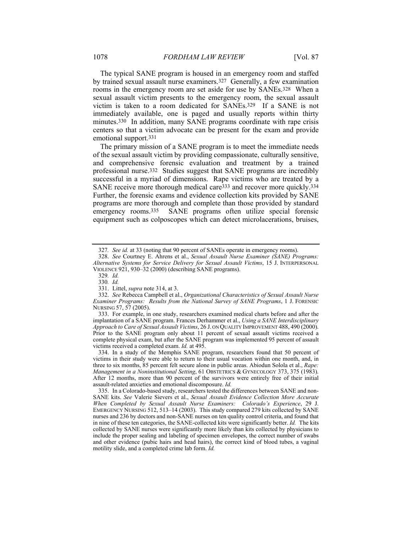The typical SANE program is housed in an emergency room and staffed by trained sexual assault nurse examiners.327 Generally, a few examination rooms in the emergency room are set aside for use by SANEs.328 When a sexual assault victim presents to the emergency room, the sexual assault victim is taken to a room dedicated for SANEs.329 If a SANE is not immediately available, one is paged and usually reports within thirty minutes.<sup>330</sup> In addition, many SANE programs coordinate with rape crisis centers so that a victim advocate can be present for the exam and provide emotional support.331

The primary mission of a SANE program is to meet the immediate needs of the sexual assault victim by providing compassionate, culturally sensitive, and comprehensive forensic evaluation and treatment by a trained professional nurse.332 Studies suggest that SANE programs are incredibly successful in a myriad of dimensions. Rape victims who are treated by a SANE receive more thorough medical care333 and recover more quickly.334 Further, the forensic exams and evidence collection kits provided by SANE programs are more thorough and complete than those provided by standard emergency rooms.<sup>335</sup> SANE programs often utilize special forensic equipment such as colposcopes which can detect microlacerations, bruises,

 333. For example, in one study, researchers examined medical charts before and after the implantation of a SANE program. Frances Derhammer et al., *Using a SANE Interdisciplinary Approach to Care of Sexual Assault Victims*, 26 J. ON QUALITY IMPROVEMENT 488, 490 (2000). Prior to the SANE program only about 11 percent of sexual assault victims received a complete physical exam, but after the SANE program was implemented 95 percent of assault victims received a completed exam. *Id.* at 495.

 334. In a study of the Memphis SANE program, researchers found that 50 percent of victims in their study were able to return to their usual vocation within one month, and, in three to six months, 85 percent felt secure alone in public areas. Abiodun Solola et al., *Rape: Management in a Noninstitutional Setting*, 61 OBSTETRICS & GYNECOLOGY 373, 375 (1983). After 12 months, more than 90 percent of the survivors were entirely free of their initial assault-related anxieties and emotional discomposure. *Id.*

 335. In a Colorado-based study, researchers tested the differences between SANE and non-SANE kits. *See* Valerie Sievers et al., *Sexual Assault Evidence Collection More Accurate When Completed by Sexual Assault Nurse Examiners: Colorado's Experience*, 29 J. EMERGENCY NURSING 512, 513–14 (2003). This study compared 279 kits collected by SANE nurses and 236 by doctors and non-SANE nurses on ten quality control criteria, and found that in nine of these ten categories, the SANE-collected kits were significantly better. *Id.* The kits collected by SANE nurses were significantly more likely than kits collected by physicians to include the proper sealing and labeling of specimen envelopes, the correct number of swabs and other evidence (pubic hairs and head hairs), the correct kind of blood tubes, a vaginal motility slide, and a completed crime lab form. *Id.*

<sup>327</sup>*. See id.* at 33 (noting that 90 percent of SANEs operate in emergency rooms).

 <sup>328.</sup> *See* Courtney E. Ahrens et al., *Sexual Assault Nurse Examiner (SANE) Programs: Alternative Systems for Service Delivery for Sexual Assault Victims*, 15 J. INTERPERSONAL VIOLENCE 921, 930–32 (2000) (describing SANE programs).

<sup>329</sup>*. Id.*

<sup>330</sup>*. Id.*

 <sup>331.</sup> Littel, *supra* note 314, at 3.

 <sup>332.</sup> *See* Rebecca Campbell et al., *Organizational Characteristics of Sexual Assault Nurse Examiner Programs: Results from the National Survey of SANE Programs*, 1 J. FORENSIC NURSING 57, 57 (2005).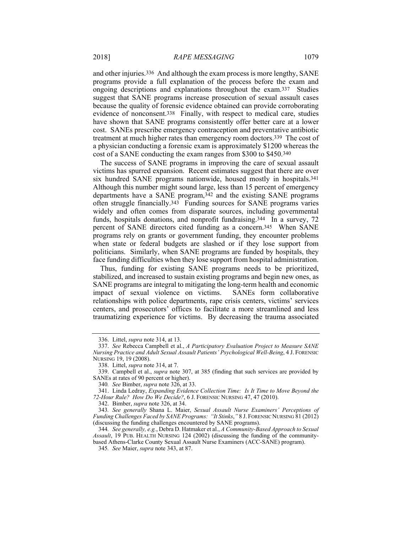and other injuries.336 And although the exam process is more lengthy, SANE programs provide a full explanation of the process before the exam and ongoing descriptions and explanations throughout the exam.337 Studies suggest that SANE programs increase prosecution of sexual assault cases because the quality of forensic evidence obtained can provide corroborating evidence of nonconsent.338 Finally, with respect to medical care, studies have shown that SANE programs consistently offer better care at a lower cost. SANEs prescribe emergency contraception and preventative antibiotic treatment at much higher rates than emergency room doctors.339 The cost of a physician conducting a forensic exam is approximately \$1200 whereas the cost of a SANE conducting the exam ranges from \$300 to \$450.340

The success of SANE programs in improving the care of sexual assault victims has spurred expansion. Recent estimates suggest that there are over six hundred SANE programs nationwide, housed mostly in hospitals.341 Although this number might sound large, less than 15 percent of emergency departments have a SANE program,342 and the existing SANE programs often struggle financially.343 Funding sources for SANE programs varies widely and often comes from disparate sources, including governmental funds, hospitals donations, and nonprofit fundraising.344 In a survey, 72 percent of SANE directors cited funding as a concern.345 When SANE programs rely on grants or government funding, they encounter problems when state or federal budgets are slashed or if they lose support from politicians. Similarly, when SANE programs are funded by hospitals, they face funding difficulties when they lose support from hospital administration.

Thus, funding for existing SANE programs needs to be prioritized, stabilized, and increased to sustain existing programs and begin new ones, as SANE programs are integral to mitigating the long-term health and economic impact of sexual violence on victims. SANEs form collaborative relationships with police departments, rape crisis centers, victims' services centers, and prosecutors' offices to facilitate a more streamlined and less traumatizing experience for victims. By decreasing the trauma associated

 <sup>336.</sup> Littel, *supra* note 314, at 13.

 <sup>337.</sup> *See* Rebecca Campbell et al., *A Participatory Evaluation Project to Measure SANE Nursing Practice and Adult Sexual Assault Patients' Psychological Well-Being*, 4 J. FORENSIC NURSING 19, 19 (2008).

 <sup>338.</sup> Littel, *supra* note 314, at 7.

 <sup>339.</sup> Campbell et al., *supra* note 307, at 385 (finding that such services are provided by SANEs at rates of 90 percent or higher).

<sup>340</sup>*. See* Bimber, *supra* note 326, at 33.

 <sup>341.</sup> Linda Ledray, *Expanding Evidence Collection Time: Is It Time to Move Beyond the 72-Hour Rule? How Do We Decide?*, 6 J. FORENSIC NURSING 47, 47 (2010).

 <sup>342.</sup> Bimber, *supra* note 326, at 34.

<sup>343</sup>*. See generally* Shana L. Maier, *Sexual Assault Nurse Examiners' Perceptions of Funding Challenges Faced by SANE Programs: "It Stinks*,*"* 8 J. FORENSIC NURSING 81 (2012) (discussing the funding challenges encountered by SANE programs).

<sup>344</sup>*. See generally, e.g.*, Debra D. Hatmaker et al., *A Community-Based Approach to Sexual Assault*, 19 PUB. HEALTH NURSING 124 (2002) (discussing the funding of the communitybased Athens-Clarke County Sexual Assault Nurse Examiners (ACC-SANE) program).

<sup>345</sup>*. See* Maier, *supra* note 343, at 87.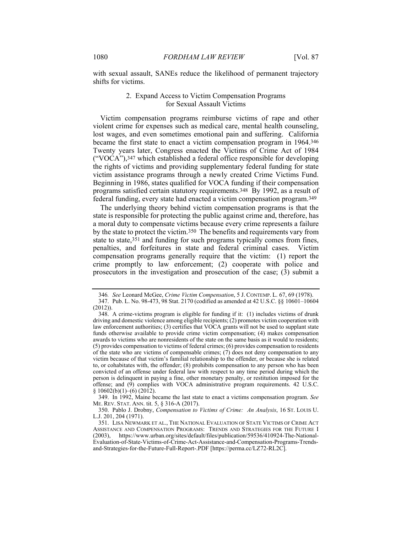with sexual assault, SANEs reduce the likelihood of permanent trajectory shifts for victims.

# 2. Expand Access to Victim Compensation Programs for Sexual Assault Victims

Victim compensation programs reimburse victims of rape and other violent crime for expenses such as medical care, mental health counseling, lost wages, and even sometimes emotional pain and suffering. California became the first state to enact a victim compensation program in 1964.346 Twenty years later, Congress enacted the Victims of Crime Act of 1984 ("VOCA"),347 which established a federal office responsible for developing the rights of victims and providing supplementary federal funding for state victim assistance programs through a newly created Crime Victims Fund. Beginning in 1986, states qualified for VOCA funding if their compensation programs satisfied certain statutory requirements.348 By 1992, as a result of federal funding, every state had enacted a victim compensation program.349

The underlying theory behind victim compensation programs is that the state is responsible for protecting the public against crime and, therefore, has a moral duty to compensate victims because every crime represents a failure by the state to protect the victim.350 The benefits and requirements vary from state to state,351 and funding for such programs typically comes from fines, penalties, and forfeitures in state and federal criminal cases. Victim compensation programs generally require that the victim: (1) report the crime promptly to law enforcement; (2) cooperate with police and prosecutors in the investigation and prosecution of the case; (3) submit a

 349. In 1992, Maine became the last state to enact a victims compensation program. *See* ME. REV. STAT. ANN. tit. 5, § 316-A (2017).

 350. Pablo J. Drobny, *Compensation to Victims of Crime: An Analysis*, 16 ST. LOUIS U. L.J. 201, 204 (1971).

<sup>346</sup>*. See* Leonard McGee, *Crime Victim Compensation*, 5 J. CONTEMP. L. 67, 69 (1978). 347. Pub. L. No. 98-473, 98 Stat. 2170 (codified as amended at 42 U.S.C. §§ 10601–10604 (2012)).

 <sup>348.</sup> A crime-victims program is eligible for funding if it: (1) includes victims of drunk driving and domestic violence among eligible recipients; (2) promotes victim cooperation with law enforcement authorities; (3) certifies that VOCA grants will not be used to supplant state funds otherwise available to provide crime victim compensation; (4) makes compensation awards to victims who are nonresidents of the state on the same basis as it would to residents; (5) provides compensation to victims of federal crimes; (6) provides compensation to residents of the state who are victims of compensable crimes;  $(7)$  does not deny compensation to any victim because of that victim's familial relationship to the offender, or because she is related to, or cohabitates with, the offender; (8) prohibits compensation to any person who has been convicted of an offense under federal law with respect to any time period during which the person is delinquent in paying a fine, other monetary penalty, or restitution imposed for the offense; and (9) complies with VOCA administrative program requirements. 42 U.S.C.  $§ 10602(b)(1)–(6)$  (2012).

 <sup>351.</sup> LISA NEWMARK ET AL., THE NATIONAL EVALUATION OF STATE VICTIMS OF CRIME ACT ASSISTANCE AND COMPENSATION PROGRAMS: TRENDS AND STRATEGIES FOR THE FUTURE I (2003), https://www.urban.org/sites/default/files/publication/59536/410924-The-National-Evaluation-of-State-Victims-of-Crime-Act-Assistance-and-Compensation-Programs-Trendsand-Strategies-for-the-Future-Full-Report-.PDF [https://perma.cc/LZ72-RL2C].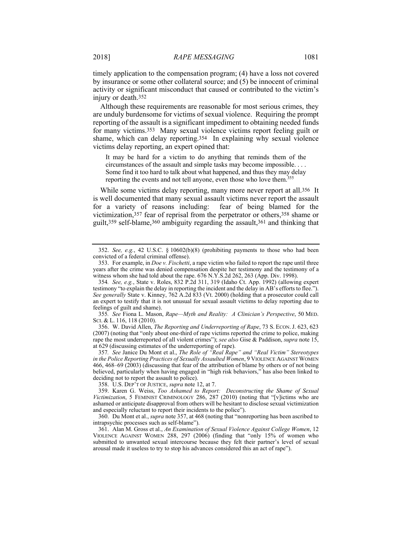timely application to the compensation program; (4) have a loss not covered by insurance or some other collateral source; and (5) be innocent of criminal activity or significant misconduct that caused or contributed to the victim's injury or death.352

Although these requirements are reasonable for most serious crimes, they are unduly burdensome for victims of sexual violence. Requiring the prompt reporting of the assault is a significant impediment to obtaining needed funds for many victims.353 Many sexual violence victims report feeling guilt or shame, which can delay reporting.354 In explaining why sexual violence victims delay reporting, an expert opined that:

It may be hard for a victim to do anything that reminds them of the circumstances of the assault and simple tasks may become impossible. . . . Some find it too hard to talk about what happened, and thus they may delay reporting the events and not tell anyone, even those who love them.<sup>355</sup>

While some victims delay reporting, many more never report at all.<sup>356</sup> It is well documented that many sexual assault victims never report the assault for a variety of reasons including: fear of being blamed for the victimization,357 fear of reprisal from the perpetrator or others,358 shame or guilt,359 self-blame,360 ambiguity regarding the assault,361 and thinking that

355*. See* Fiona L. Mason, *Rape—Myth and Reality: A Clinician's Perspective*, 50 MED. SCI. & L. 116, 118 (2010).

 356. W. David Allen, *The Reporting and Underreporting of Rape*, 73 S. ECON. J. 623, 623 (2007) (noting that "only about one-third of rape victims reported the crime to police, making rape the most underreported of all violent crimes"); *see also* Gise & Paddison, *supra* note 15, at 629 (discussing estimates of the underreporting of rape).

357*. See* Janice Du Mont et al., *The Role of "Real Rape" and "Real Victim" Stereotypes in the Police Reporting Practices of Sexually Assaulted Women*, 9 VIOLENCE AGAINST WOMEN 466, 468–69 (2003) (discussing that fear of the attribution of blame by others or of not being believed, particularly when having engaged in "high risk behaviors," has also been linked to deciding not to report the assault to police).

358. U.S. DEP'T OF JUSTICE, *supra* note 12, at 7.

 359. Karen G. Weiss, *Too Ashamed to Report: Deconstructing the Shame of Sexual Victimization*, 5 FEMINIST CRIMINOLOGY 286, 287 (2010) (noting that "[v]ictims who are ashamed or anticipate disapproval from others will be hesitant to disclose sexual victimization and especially reluctant to report their incidents to the police").

 360. Du Mont et al., *supra* note 357, at 468 (noting that "nonreporting has been ascribed to intrapsychic processes such as self-blame").

 361. Alan M. Gross et al., *An Examination of Sexual Violence Against College Women*, 12 VIOLENCE AGAINST WOMEN 288, 297 (2006) (finding that "only 15% of women who submitted to unwanted sexual intercourse because they felt their partner's level of sexual arousal made it useless to try to stop his advances considered this an act of rape").

 <sup>352.</sup> *See, e.g.*, 42 U.S.C. § 10602(b)(8) (prohibiting payments to those who had been convicted of a federal criminal offense).

 <sup>353.</sup> For example, in *Doe v. Fischetti*, a rape victim who failed to report the rape until three years after the crime was denied compensation despite her testimony and the testimony of a witness whom she had told about the rape. 676 N.Y.S.2d 262, 263 (App. Div. 1998).

<sup>354</sup>*. See, e.g.*, State v. Roles, 832 P.2d 311, 319 (Idaho Ct. App. 1992) (allowing expert testimony "to explain the delay in reporting the incident and the delay in AB's efforts to flee."). *See generally* State v. Kinney, 762 A.2d 833 (Vt. 2000) (holding that a prosecutor could call an expert to testify that it is not unusual for sexual assault victims to delay reporting due to feelings of guilt and shame).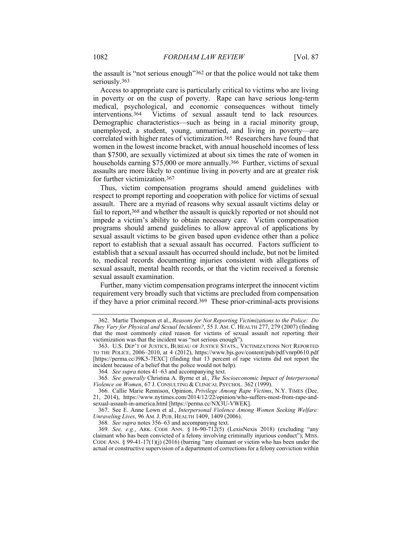the assault is "not serious enough"362 or that the police would not take them seriously.363

Access to appropriate care is particularly critical to victims who are living in poverty or on the cusp of poverty. Rape can have serious long-term medical, psychological, and economic consequences without timely interventions.364 Victims of sexual assault tend to lack resources. Demographic characteristics—such as being in a racial minority group, unemployed, a student, young, unmarried, and living in poverty—are correlated with higher rates of victimization.365 Researchers have found that women in the lowest income bracket, with annual household incomes of less than \$7500, are sexually victimized at about six times the rate of women in households earning \$75,000 or more annually.<sup>366</sup> Further, victims of sexual assaults are more likely to continue living in poverty and are at greater risk for further victimization.367

Thus, victim compensation programs should amend guidelines with respect to prompt reporting and cooperation with police for victims of sexual assault. There are a myriad of reasons why sexual assault victims delay or fail to report,<sup>368</sup> and whether the assault is quickly reported or not should not impede a victim's ability to obtain necessary care. Victim compensation programs should amend guidelines to allow approval of applications by sexual assault victims to be given based upon evidence other than a police report to establish that a sexual assault has occurred. Factors sufficient to establish that a sexual assault has occurred should include, but not be limited to, medical records documenting injuries consistent with allegations of sexual assault, mental health records, or that the victim received a forensic sexual assault examination.

Further, many victim compensation programs interpret the innocent victim requirement very broadly such that victims are precluded from compensation if they have a prior criminal record.369 These prior-criminal-acts provisions

 <sup>362.</sup> Martie Thompson et al., *Reasons for Not Reporting Victimizations to the Police: Do They Vary for Physical and Sexual Incidents?*, 55 J. AM. C. HEALTH 277, 279 (2007) (finding that the most commonly cited reason for victims of sexual assault not reporting their victimization was that the incident was "not serious enough").

 <sup>363.</sup> U.S. DEP'T OF JUSTICE, BUREAU OF JUSTICE STATS., VICTIMIZATIONS NOT REPORTED TO THE POLICE, 2006–2010, at 4 (2012), https://www.bjs.gov/content/pub/pdf/vnrp0610.pdf [https://perma.cc/J9K5-7EXC] (finding that 13 percent of rape victims did not report the incident because of a belief that the police would not help).

<sup>364</sup>*. See supra* notes 41–63 and accompanying text.

<sup>365</sup>*. See generally* Christina A. Byrne et al., *The Socioeconomic Impact of Interpersonal Violence on Women*, 67 J. CONSULTING & CLINICAL PSYCHOL. 362 (1999).

 <sup>366.</sup> Callie Marie Rennison, Opinion, *Privilege Among Rape Victims*, N.Y. TIMES (Dec. 21, 2014), https://www.nytimes.com/2014/12/22/opinion/who-suffers-most-from-rape-andsexual-assault-in-america.html [https://perma.cc/NX3U-VWEK].

 <sup>367.</sup> See E. Anne Lown et al., *Interpersonal Violence Among Women Seeking Welfare: Unraveling Lives*, 96 AM. J. PUB. HEALTH 1409, 1409 (2006).

<sup>368</sup>*. See supra* notes 356–63 and accompanying text.

<sup>369</sup>*. See, e.g.*, ARK. CODE ANN. § 16-90-712(5) (LexisNexis 2018) (excluding "any claimant who has been convicted of a felony involving criminally injurious conduct"); MISS. CODE ANN. § 99-41-17(1)(j) (2016) (barring "any claimant or victim who has been under the actual or constructive supervision of a department of corrections for a felony conviction within